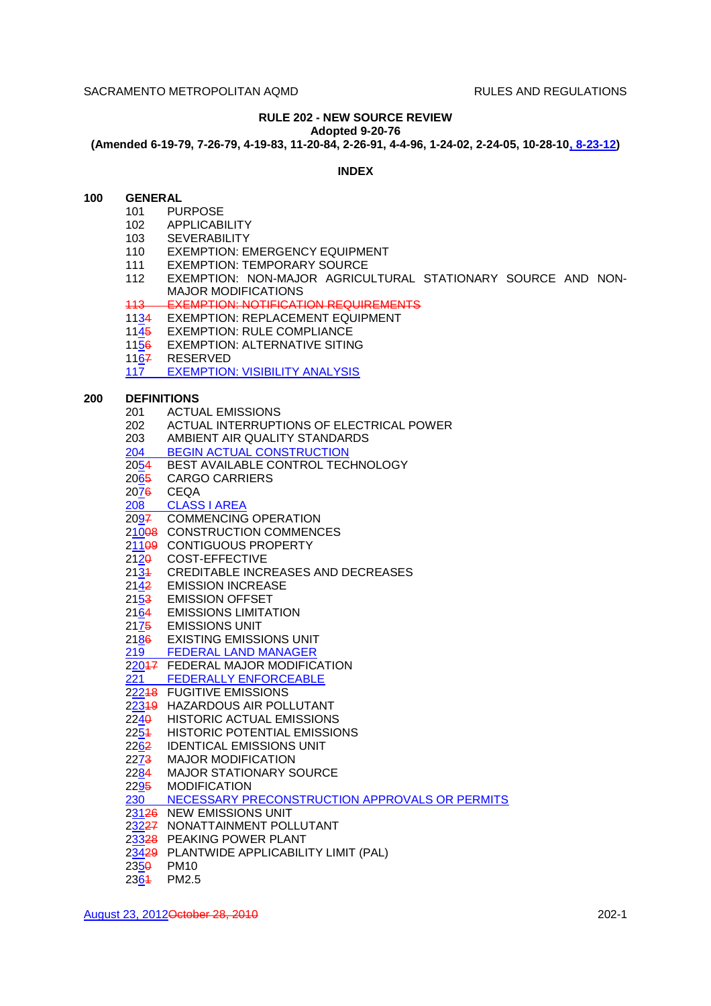# **RULE 202 - NEW SOURCE REVIEW**

**Adopted 9-20-76**

**(Amended 6-19-79, 7-26-79, 4-19-83, 11-20-84, 2-26-91, 4-4-96, 1-24-02, 2-24-05, 10-28-10, 8-23-12)**

## **INDEX**

## **100 GENERAL**

- 101 PURPOSE
	- 102 APPLICABILITY
	- 103 SEVERABILITY
	- 110 EXEMPTION: EMERGENCY EQUIPMENT
	- 111 EXEMPTION: TEMPORARY SOURCE
	- 112 EXEMPTION: NON-MAJOR AGRICULTURAL STATIONARY SOURCE AND NON-MAJOR MODIFICATIONS
	- 113 EXEMPTION: NOTIFICATION REQUIREMENTS
	- 1134 EXEMPTION: REPLACEMENT EQUIPMENT
	- 1145 EXEMPTION: RULE COMPLIANCE
	- 1156 EXEMPTION: ALTERNATIVE SITING
	- 1167 RESERVED
	- 117 EXEMPTION: VISIBILITY ANALYSIS

### **200 DEFINITIONS**

- 201 ACTUAL EMISSIONS
- 202 ACTUAL INTERRUPTIONS OF ELECTRICAL POWER
- 203 AMBIENT AIR QUALITY STANDARDS
- 204 BEGIN ACTUAL CONSTRUCTION
- 2054 BEST AVAILABLE CONTROL TECHNOLOGY
- 2065 CARGO CARRIERS
- 2076 CEQA
- 208 CLASS I AREA
- 2097 COMMENCING OPERATION
- 21008 CONSTRUCTION COMMENCES
- 21109 CONTIGUOUS PROPERTY
- 2120 COST-EFFECTIVE
- 2131 CREDITABLE INCREASES AND DECREASES
- 2142 EMISSION INCREASE
- 2153 EMISSION OFFSET
- 2164 EMISSIONS LIMITATION
- 2175 EMISSIONS UNIT
- 2186 EXISTING EMISSIONS UNIT
- 219 FEDERAL LAND MANAGER
- 22047 FEDERAL MAJOR MODIFICATION<br>221 FEDERALLY ENFORCEABLE
- FEDERALLY ENFORCEABLE
- 22248 FUGITIVE EMISSIONS
- 22319 HAZARDOUS AIR POLLUTANT
- 2240 HISTORIC ACTUAL EMISSIONS
- 2254 HISTORIC POTENTIAL EMISSIONS
- 2262 IDENTICAL EMISSIONS UNIT
- 2273 MAJOR MODIFICATION
- 2284 MAJOR STATIONARY SOURCE
- 2295 MODIFICATION
- 230 NECESSARY PRECONSTRUCTION APPROVALS OR PERMITS
- 23126 NEW EMISSIONS UNIT
- 23227 NONATTAINMENT POLLUTANT
- 23328 PEAKING POWER PLANT
- 23429 PLANTWIDE APPLICABILITY LIMIT (PAL)
- 2350 PM10
- 2364 PM2.5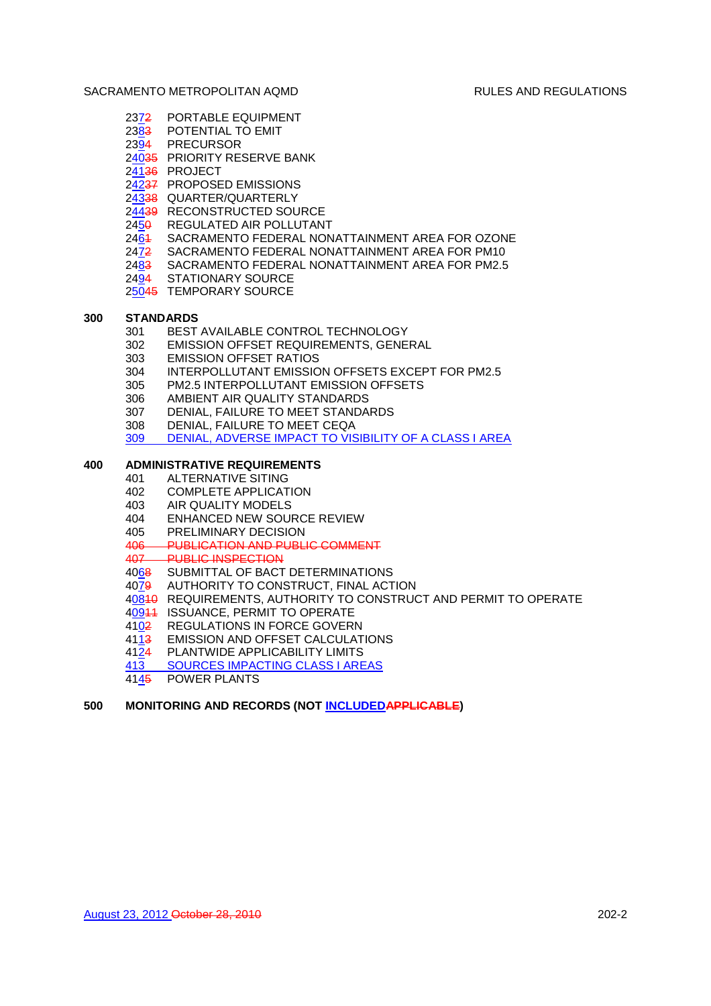- 2372 PORTABLE EQUIPMENT
- 2383 POTENTIAL TO EMIT
- 2394 PRECURSOR
- 24035 PRIORITY RESERVE BANK
- 24136 PROJECT
- 24237 PROPOSED EMISSIONS
- 24338 QUARTER/QUARTERLY
- 24439 RECONSTRUCTED SOURCE
- 2450 REGULATED AIR POLLUTANT
- 2461 SACRAMENTO FEDERAL NONATTAINMENT AREA FOR OZONE
- 2472 SACRAMENTO FEDERAL NONATTAINMENT AREA FOR PM10
- 2483 SACRAMENTO FEDERAL NONATTAINMENT AREA FOR PM2.5
- 2494 STATIONARY SOURCE
- 25045 TEMPORARY SOURCE

# **300 STANDARDS**

- 301 BEST AVAILABLE CONTROL TECHNOLOGY
- 302 EMISSION OFFSET REQUIREMENTS, GENERAL
- 303 EMISSION OFFSET RATIOS
- 304 INTERPOLLUTANT EMISSION OFFSETS EXCEPT FOR PM2.5
- 305 PM2.5 INTERPOLLUTANT EMISSION OFFSETS
- 306 AMBIENT AIR QUALITY STANDARDS
- 307 DENIAL, FAILURE TO MEET STANDARDS
- 308 DENIAL, FAILURE TO MEET CEQA
- 309 DENIAL, ADVERSE IMPACT TO VISIBILITY OF A CLASS I AREA

# **400 ADMINISTRATIVE REQUIREMENTS**

- 401 ALTERNATIVE SITING
	- 402 COMPLETE APPLICATION
	- 403 AIR QUALITY MODELS
	- 404 ENHANCED NEW SOURCE REVIEW
	- 405 PRELIMINARY DECISION
	- 406 PUBLICATION AND PUBLIC COMMENT
	- 407 PUBLIC INSPECTION
	- 4068 SUBMITTAL OF BACT DETERMINATIONS
	- 4079 AUTHORITY TO CONSTRUCT, FINAL ACTION
	- 40810 REQUIREMENTS, AUTHORITY TO CONSTRUCT AND PERMIT TO OPERATE
	- 40944 ISSUANCE, PERMIT TO OPERATE
	- 4102 REGULATIONS IN FORCE GOVERN
	- 4113 EMISSION AND OFFSET CALCULATIONS
	- 4124 PLANTWIDE APPLICABILITY LIMITS
	- 413 SOURCES IMPACTING CLASS I AREAS
	- 4145 POWER PLANTS

# **500 MONITORING AND RECORDS (NOT INCLUDEDAPPLICABLE)**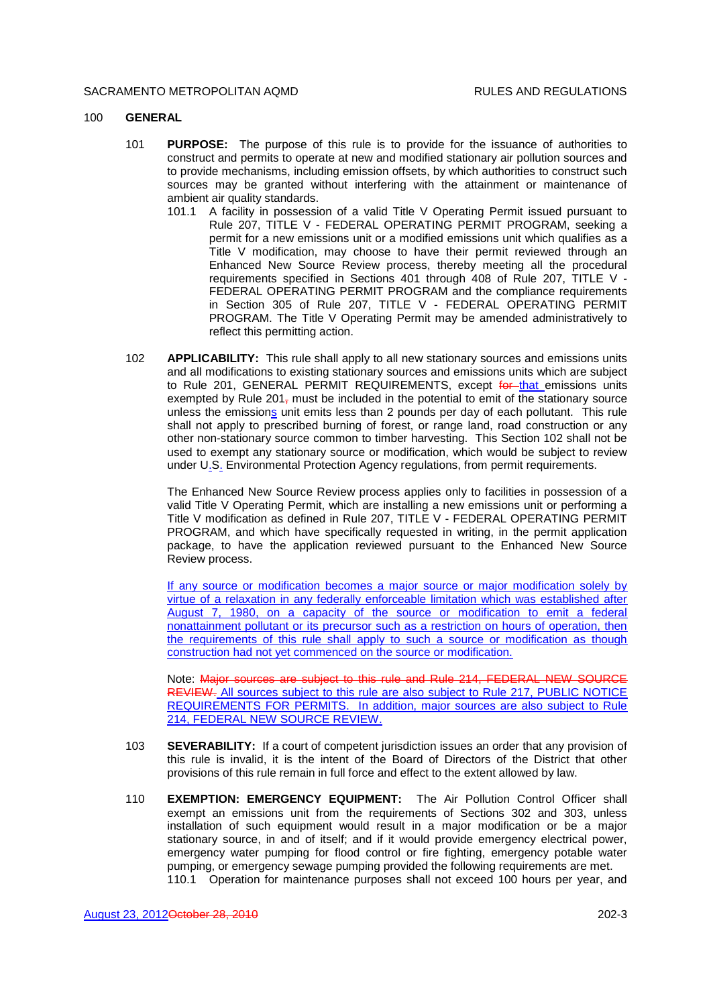### 100 **GENERAL**

- 101 **PURPOSE:** The purpose of this rule is to provide for the issuance of authorities to construct and permits to operate at new and modified stationary air pollution sources and to provide mechanisms, including emission offsets, by which authorities to construct such sources may be granted without interfering with the attainment or maintenance of ambient air quality standards.
	- 101.1 A facility in possession of a valid Title V Operating Permit issued pursuant to Rule 207, TITLE V - FEDERAL OPERATING PERMIT PROGRAM, seeking a permit for a new emissions unit or a modified emissions unit which qualifies as a Title V modification, may choose to have their permit reviewed through an Enhanced New Source Review process, thereby meeting all the procedural requirements specified in Sections 401 through 408 of Rule 207, TITLE V - FEDERAL OPERATING PERMIT PROGRAM and the compliance requirements in Section 305 of Rule 207, TITLE V - FEDERAL OPERATING PERMIT PROGRAM. The Title V Operating Permit may be amended administratively to reflect this permitting action.
- 102 **APPLICABILITY:** This rule shall apply to all new stationary sources and emissions units and all modifications to existing stationary sources and emissions units which are subject to Rule 201, GENERAL PERMIT REQUIREMENTS, except for that emissions units exempted by Rule  $201<sub>\tau</sub>$  must be included in the potential to emit of the stationary source unless the emissions unit emits less than 2 pounds per day of each pollutant. This rule shall not apply to prescribed burning of forest, or range land, road construction or any other non-stationary source common to timber harvesting. This Section 102 shall not be used to exempt any stationary source or modification, which would be subject to review under U.S. Environmental Protection Agency regulations, from permit requirements.

The Enhanced New Source Review process applies only to facilities in possession of a valid Title V Operating Permit, which are installing a new emissions unit or performing a Title V modification as defined in Rule 207, TITLE V - FEDERAL OPERATING PERMIT PROGRAM, and which have specifically requested in writing, in the permit application package, to have the application reviewed pursuant to the Enhanced New Source Review process.

If any source or modification becomes a major source or major modification solely by virtue of a relaxation in any federally enforceable limitation which was established after August 7, 1980, on a capacity of the source or modification to emit a federal nonattainment pollutant or its precursor such as a restriction on hours of operation, then the requirements of this rule shall apply to such a source or modification as though construction had not yet commenced on the source or modification.

Note: Major sources are subject to this rule and Rule 214, FEDERAL NEW SOURCE REVIEW. All sources subject to this rule are also subject to Rule 217, PUBLIC NOTICE REQUIREMENTS FOR PERMITS. In addition, major sources are also subject to Rule 214, FEDERAL NEW SOURCE REVIEW.

- 103 **SEVERABILITY:** If a court of competent jurisdiction issues an order that any provision of this rule is invalid, it is the intent of the Board of Directors of the District that other provisions of this rule remain in full force and effect to the extent allowed by law.
- 110 **EXEMPTION: EMERGENCY EQUIPMENT:** The Air Pollution Control Officer shall exempt an emissions unit from the requirements of Sections 302 and 303, unless installation of such equipment would result in a major modification or be a major stationary source, in and of itself; and if it would provide emergency electrical power, emergency water pumping for flood control or fire fighting, emergency potable water pumping, or emergency sewage pumping provided the following requirements are met. 110.1 Operation for maintenance purposes shall not exceed 100 hours per year, and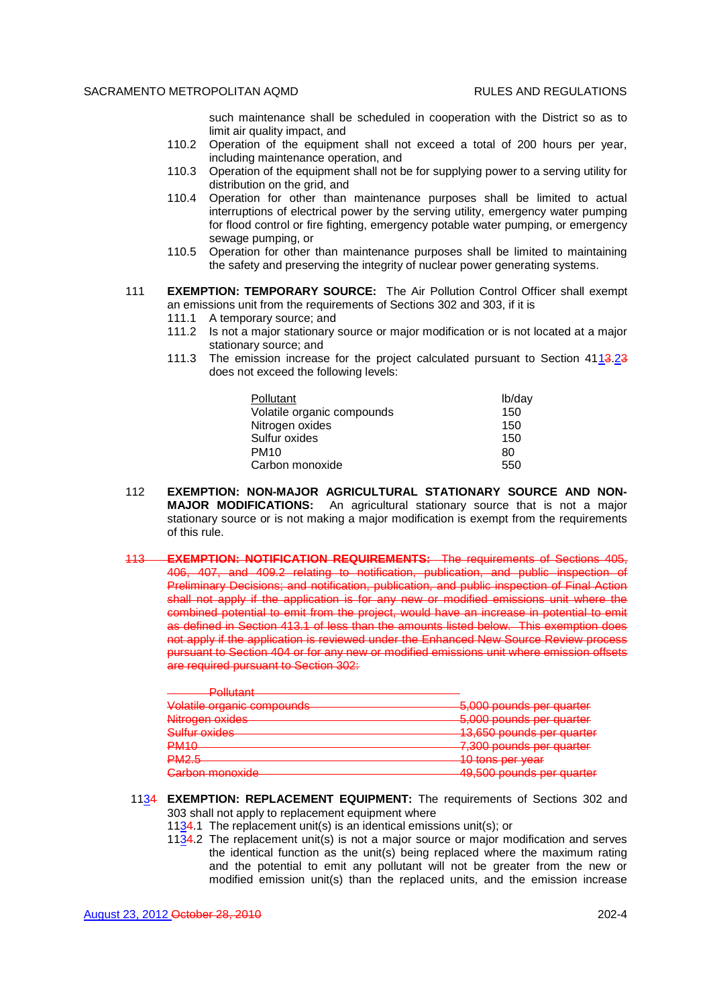such maintenance shall be scheduled in cooperation with the District so as to limit air quality impact, and

- 110.2 Operation of the equipment shall not exceed a total of 200 hours per year, including maintenance operation, and
- 110.3 Operation of the equipment shall not be for supplying power to a serving utility for distribution on the grid, and
- 110.4 Operation for other than maintenance purposes shall be limited to actual interruptions of electrical power by the serving utility, emergency water pumping for flood control or fire fighting, emergency potable water pumping, or emergency sewage pumping, or
- 110.5 Operation for other than maintenance purposes shall be limited to maintaining the safety and preserving the integrity of nuclear power generating systems.
- 111 **EXEMPTION: TEMPORARY SOURCE:** The Air Pollution Control Officer shall exempt an emissions unit from the requirements of Sections 302 and 303, if it is
	- 111.1 A temporary source; and
	- 111.2 Is not a major stationary source or major modification or is not located at a major stationary source; and
	- 111.3 The emission increase for the project calculated pursuant to Section 4113.23 does not exceed the following levels:

| <b>Pollutant</b>           | lb/day |
|----------------------------|--------|
| Volatile organic compounds | 150    |
| Nitrogen oxides            | 150    |
| Sulfur oxides              | 150    |
| <b>PM10</b>                | 80     |
| Carbon monoxide            | 550    |

- 112 **EXEMPTION: NON-MAJOR AGRICULTURAL STATIONARY SOURCE AND NON-MAJOR MODIFICATIONS:** An agricultural stationary source that is not a major stationary source or is not making a major modification is exempt from the requirements of this rule.
- 113 **EXEMPTION: NOTIFICATION REQUIREMENTS:** The requirements of Sections 405, 406, 407, and 409.2 relating to notification, publication, and public inspection of Preliminary Decisions; and notification, publication, and public inspection of Final Action shall not apply if the application is for any new or modified emissions unit where the combined potential to emit from the project, would have an increase in potential to emit as defined in Section 413.1 of less than the amounts listed below. This exemption does not apply if the application is reviewed under the Enhanced New Source Review process pursuant to Section 404 or for any new or modified emissions unit where emission offsets are required pursuant to Section 302:

| D <sub>0</sub><br><u>г опошли</u>  |                                      |
|------------------------------------|--------------------------------------|
| Volotilo organic compounde         | 5,000 pounds per quarter             |
| <u>voiduito organito oompoundo</u> | <del>o,ooo pounus por quanor</del>   |
| Nitrogan ovidae                    | 5,000 pounds per quarter             |
| <del>milogon oxiaco</del>          | <del>o,ooo pounus per quaner</del>   |
| Sulfur ovidee                      | 13.650 nounde par quarter            |
| <del>ounur oxiaco</del>            | <del>το,οσο ροαπαδ ροι quartor</del> |
| DM10                               | 7.300 pounds par quarter             |
| <del>nwno</del>                    | <del>,ooo pounuo por quanor</del>    |
| <b>DMOR</b>                        | 10 tone nor yogr                     |
| $\blacksquare$                     | <del>TV tono por you</del> r         |
| Carbon monovido                    | 10.500 pounds par quarter            |
| _______________________            | <del>iyyoo pounuo poi quunoi</del>   |

- 1134 **EXEMPTION: REPLACEMENT EQUIPMENT:** The requirements of Sections 302 and 303 shall not apply to replacement equipment where
	- 11 $34.1$  The replacement unit(s) is an identical emissions unit(s); or
	- 11 $34.2$  The replacement unit(s) is not a major source or major modification and serves the identical function as the unit(s) being replaced where the maximum rating and the potential to emit any pollutant will not be greater from the new or modified emission unit(s) than the replaced units, and the emission increase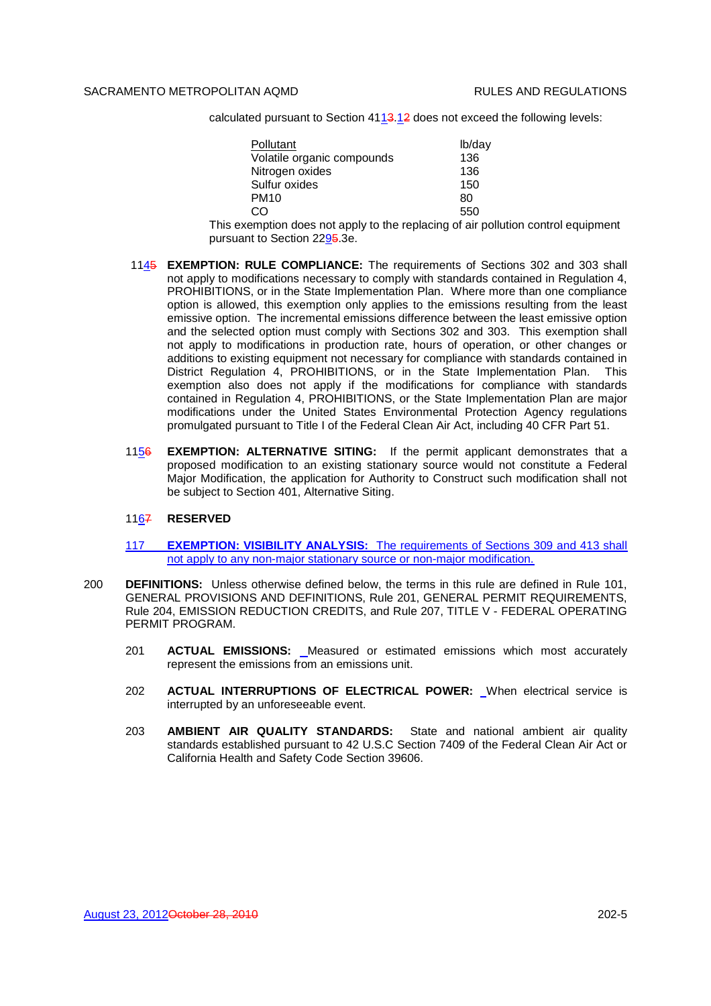calculated pursuant to Section 4113.12 does not exceed the following levels:

| Pollutant                  | lb/day |
|----------------------------|--------|
| Volatile organic compounds | 136    |
| Nitrogen oxides            | 136    |
| Sulfur oxides              | 150    |
| <b>PM10</b>                | 80     |
| CO.                        | 550    |

This exemption does not apply to the replacing of air pollution control equipment pursuant to Section 2295.3e.

- 1145 **EXEMPTION: RULE COMPLIANCE:** The requirements of Sections 302 and 303 shall not apply to modifications necessary to comply with standards contained in Regulation 4, PROHIBITIONS, or in the State Implementation Plan. Where more than one compliance option is allowed, this exemption only applies to the emissions resulting from the least emissive option. The incremental emissions difference between the least emissive option and the selected option must comply with Sections 302 and 303. This exemption shall not apply to modifications in production rate, hours of operation, or other changes or additions to existing equipment not necessary for compliance with standards contained in District Regulation 4, PROHIBITIONS, or in the State Implementation Plan. This exemption also does not apply if the modifications for compliance with standards contained in Regulation 4, PROHIBITIONS, or the State Implementation Plan are major modifications under the United States Environmental Protection Agency regulations promulgated pursuant to Title I of the Federal Clean Air Act, including 40 CFR Part 51.
- 1156 **EXEMPTION: ALTERNATIVE SITING:** If the permit applicant demonstrates that a proposed modification to an existing stationary source would not constitute a Federal Major Modification, the application for Authority to Construct such modification shall not be subject to Section 401, Alternative Siting.

### 1167 **RESERVED**

- 117 **EXEMPTION: VISIBILITY ANALYSIS:** The requirements of Sections 309 and 413 shall not apply to any non-major stationary source or non-major modification.
- 200 **DEFINITIONS:** Unless otherwise defined below, the terms in this rule are defined in Rule 101, GENERAL PROVISIONS AND DEFINITIONS, Rule 201, GENERAL PERMIT REQUIREMENTS, Rule 204, EMISSION REDUCTION CREDITS, and Rule 207, TITLE V - FEDERAL OPERATING PERMIT PROGRAM.
	- 201 **ACTUAL EMISSIONS:** Measured or estimated emissions which most accurately represent the emissions from an emissions unit.
	- 202 **ACTUAL INTERRUPTIONS OF ELECTRICAL POWER:** When electrical service is interrupted by an unforeseeable event.
	- 203 **AMBIENT AIR QUALITY STANDARDS:** State and national ambient air quality standards established pursuant to 42 U.S.C Section 7409 of the Federal Clean Air Act or California Health and Safety Code Section 39606.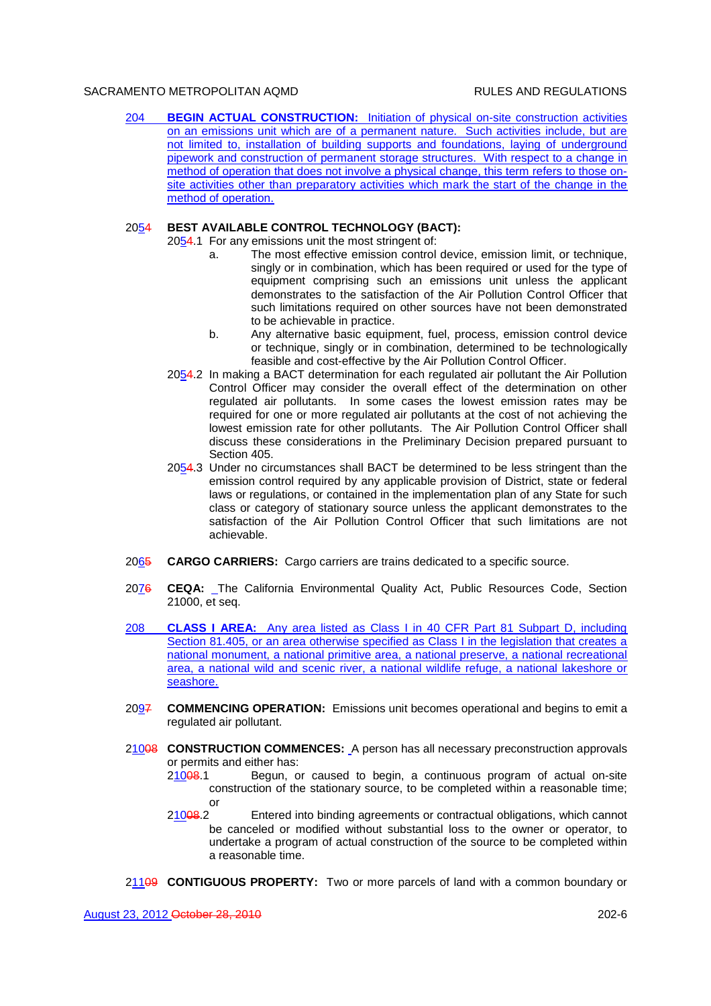204 **BEGIN ACTUAL CONSTRUCTION:** Initiation of physical on-site construction activities on an emissions unit which are of a permanent nature. Such activities include, but are not limited to, installation of building supports and foundations, laying of underground pipework and construction of permanent storage structures. With respect to a change in method of operation that does not involve a physical change, this term refers to those onsite activities other than preparatory activities which mark the start of the change in the method of operation.

# 2054 **BEST AVAILABLE CONTROL TECHNOLOGY (BACT):**

- 2054.1 For any emissions unit the most stringent of:
	- a. The most effective emission control device, emission limit, or technique, singly or in combination, which has been required or used for the type of equipment comprising such an emissions unit unless the applicant demonstrates to the satisfaction of the Air Pollution Control Officer that such limitations required on other sources have not been demonstrated to be achievable in practice.
	- b. Any alternative basic equipment, fuel, process, emission control device or technique, singly or in combination, determined to be technologically feasible and cost-effective by the Air Pollution Control Officer.
- 2054.2 In making a BACT determination for each regulated air pollutant the Air Pollution Control Officer may consider the overall effect of the determination on other regulated air pollutants. In some cases the lowest emission rates may be required for one or more regulated air pollutants at the cost of not achieving the lowest emission rate for other pollutants. The Air Pollution Control Officer shall discuss these considerations in the Preliminary Decision prepared pursuant to Section 405.
- 2054.3 Under no circumstances shall BACT be determined to be less stringent than the emission control required by any applicable provision of District, state or federal laws or regulations, or contained in the implementation plan of any State for such class or category of stationary source unless the applicant demonstrates to the satisfaction of the Air Pollution Control Officer that such limitations are not achievable.
- 2065 **CARGO CARRIERS:** Cargo carriers are trains dedicated to a specific source.
- 2076 **CEQA:** The California Environmental Quality Act, Public Resources Code, Section 21000, et seq.
- 208 **CLASS I AREA:** Any area listed as Class I in 40 CFR Part 81 Subpart D, including Section 81.405, or an area otherwise specified as Class I in the legislation that creates a national monument, a national primitive area, a national preserve, a national recreational area, a national wild and scenic river, a national wildlife refuge, a national lakeshore or seashore.
- 2097 **COMMENCING OPERATION:** Emissions unit becomes operational and begins to emit a regulated air pollutant.
- 210<del>08</del> **CONSTRUCTION COMMENCES:** A person has all necessary preconstruction approvals or permits and either has:
	- 21008.1 Begun, or caused to begin, a continuous program of actual on-site construction of the stationary source, to be completed within a reasonable time; or
	- 21008.2 Entered into binding agreements or contractual obligations, which cannot be canceled or modified without substantial loss to the owner or operator, to undertake a program of actual construction of the source to be completed within a reasonable time.
- 21109 **CONTIGUOUS PROPERTY:** Two or more parcels of land with a common boundary or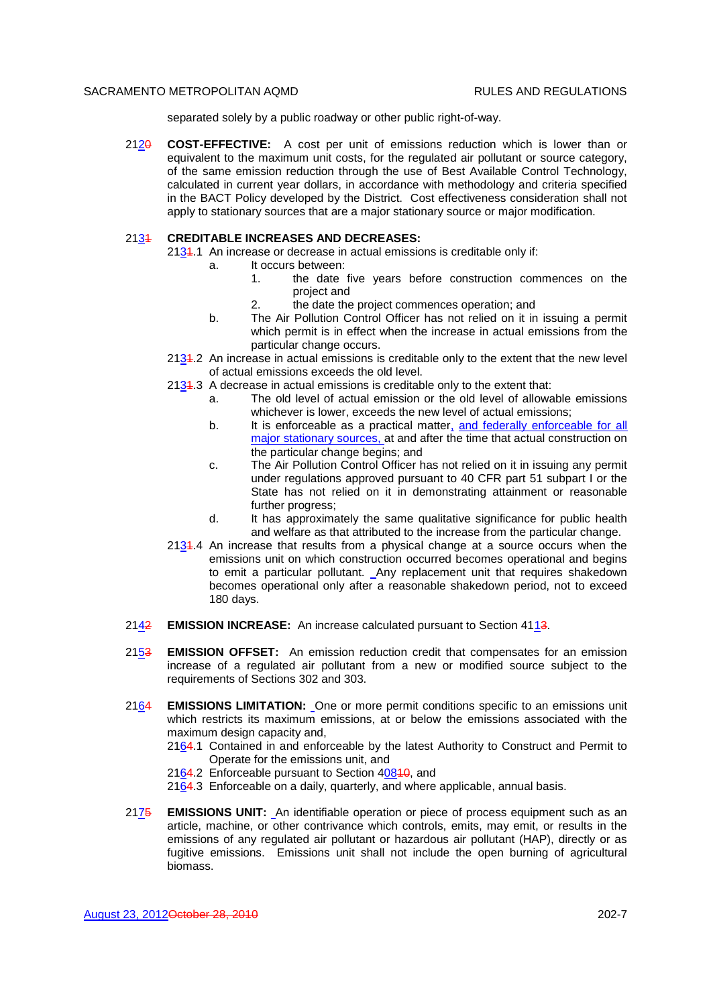separated solely by a public roadway or other public right-of-way.

2120 **COST-EFFECTIVE:** A cost per unit of emissions reduction which is lower than or equivalent to the maximum unit costs, for the regulated air pollutant or source category, of the same emission reduction through the use of Best Available Control Technology, calculated in current year dollars, in accordance with methodology and criteria specified in the BACT Policy developed by the District. Cost effectiveness consideration shall not apply to stationary sources that are a major stationary source or major modification.

### 2131 **CREDITABLE INCREASES AND DECREASES:**

- 2134.1 An increase or decrease in actual emissions is creditable only if:
	- a. It occurs between:
		- 1. the date five years before construction commences on the project and
		- 2. the date the project commences operation; and
	- b. The Air Pollution Control Officer has not relied on it in issuing a permit which permit is in effect when the increase in actual emissions from the particular change occurs.
- 2131.2 An increase in actual emissions is creditable only to the extent that the new level of actual emissions exceeds the old level.
- $2134.3$  A decrease in actual emissions is creditable only to the extent that:
	- a. The old level of actual emission or the old level of allowable emissions whichever is lower, exceeds the new level of actual emissions;
	- b. It is enforceable as a practical matter, and federally enforceable for all major stationary sources, at and after the time that actual construction on the particular change begins; and
	- c. The Air Pollution Control Officer has not relied on it in issuing any permit under regulations approved pursuant to 40 CFR part 51 subpart I or the State has not relied on it in demonstrating attainment or reasonable further progress:
	- d. It has approximately the same qualitative significance for public health and welfare as that attributed to the increase from the particular change.
- 2131.4 An increase that results from a physical change at a source occurs when the emissions unit on which construction occurred becomes operational and begins to emit a particular pollutant. Any replacement unit that requires shakedown becomes operational only after a reasonable shakedown period, not to exceed 180 days.
- 2142 **EMISSION INCREASE:** An increase calculated pursuant to Section 4113.
- 2153 **EMISSION OFFSET:** An emission reduction credit that compensates for an emission increase of a regulated air pollutant from a new or modified source subject to the requirements of Sections 302 and 303.
- 2164 **EMISSIONS LIMITATION:** One or more permit conditions specific to an emissions unit which restricts its maximum emissions, at or below the emissions associated with the maximum design capacity and,
	- 2164.1 Contained in and enforceable by the latest Authority to Construct and Permit to Operate for the emissions unit, and
	- 2164.2 Enforceable pursuant to Section 40840, and
	- 2164.3 Enforceable on a daily, quarterly, and where applicable, annual basis.
- 2175 **EMISSIONS UNIT:** An identifiable operation or piece of process equipment such as an article, machine, or other contrivance which controls, emits, may emit, or results in the emissions of any regulated air pollutant or hazardous air pollutant (HAP), directly or as fugitive emissions. Emissions unit shall not include the open burning of agricultural biomass.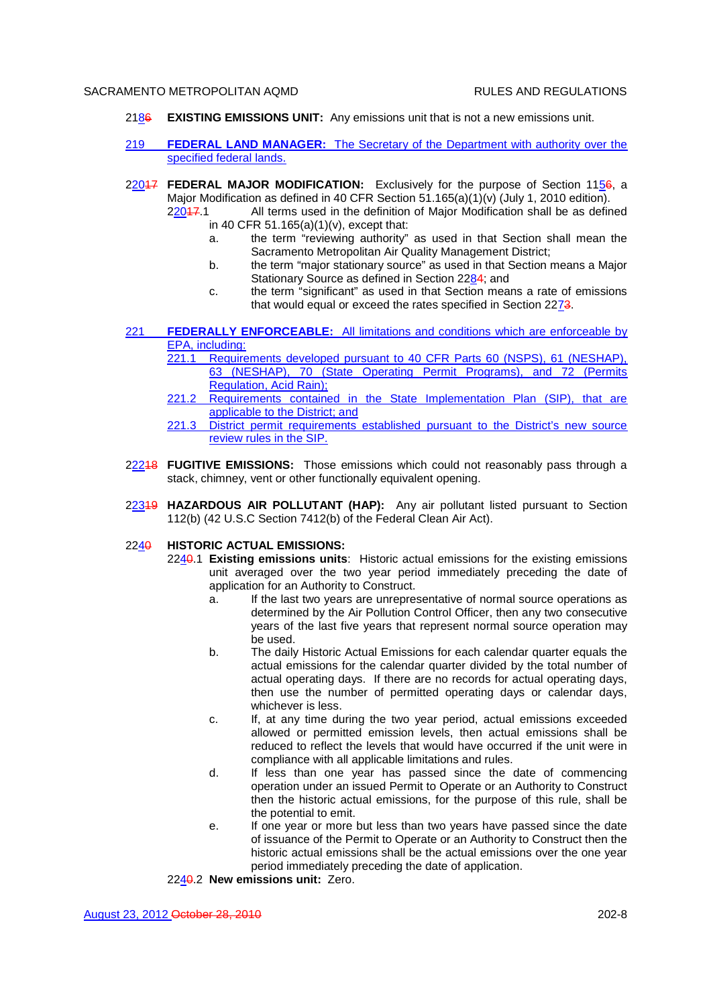- 2186 **EXISTING EMISSIONS UNIT:** Any emissions unit that is not a new emissions unit.
- 219 **FEDERAL LAND MANAGER:** The Secretary of the Department with authority over the specified federal lands.
- 22017 **FEDERAL MAJOR MODIFICATION:** Exclusively for the purpose of Section 1156, a Major Modification as defined in 40 CFR Section 51.165(a)(1)(v) (July 1, 2010 edition). 22017.1 All terms used in the definition of Major Modification shall be as defined
	- in 40 CFR 51.165(a)(1)(v), except that:
		- a. the term "reviewing authority" as used in that Section shall mean the Sacramento Metropolitan Air Quality Management District;
		- b. the term "major stationary source" as used in that Section means a Major Stationary Source as defined in Section 2284; and
		- c. the term "significant" as used in that Section means a rate of emissions that would equal or exceed the rates specified in Section 2273.
- 221 **FEDERALLY ENFORCEABLE:** All limitations and conditions which are enforceable by EPA, including:
	- 221.1 Requirements developed pursuant to 40 CFR Parts 60 (NSPS), 61 (NESHAP), 63 (NESHAP), 70 (State Operating Permit Programs), and 72 (Permits Regulation, Acid Rain);
	- 221.2 Requirements contained in the State Implementation Plan (SIP), that are applicable to the District; and
	- 221.3 District permit requirements established pursuant to the District's new source review rules in the SIP.
- 22218 **FUGITIVE EMISSIONS:** Those emissions which could not reasonably pass through a stack, chimney, vent or other functionally equivalent opening.
- 22319 **HAZARDOUS AIR POLLUTANT (HAP):** Any air pollutant listed pursuant to Section 112(b) (42 U.S.C Section 7412(b) of the Federal Clean Air Act).

# 2240 **HISTORIC ACTUAL EMISSIONS:**

- 2240.1 **Existing emissions units**: Historic actual emissions for the existing emissions unit averaged over the two year period immediately preceding the date of application for an Authority to Construct.
	- a. If the last two years are unrepresentative of normal source operations as determined by the Air Pollution Control Officer, then any two consecutive years of the last five years that represent normal source operation may be used.
	- b. The daily Historic Actual Emissions for each calendar quarter equals the actual emissions for the calendar quarter divided by the total number of actual operating days. If there are no records for actual operating days, then use the number of permitted operating days or calendar days, whichever is less.
	- c. If, at any time during the two year period, actual emissions exceeded allowed or permitted emission levels, then actual emissions shall be reduced to reflect the levels that would have occurred if the unit were in compliance with all applicable limitations and rules.
	- d. If less than one year has passed since the date of commencing operation under an issued Permit to Operate or an Authority to Construct then the historic actual emissions, for the purpose of this rule, shall be the potential to emit.
	- e. If one year or more but less than two years have passed since the date of issuance of the Permit to Operate or an Authority to Construct then the historic actual emissions shall be the actual emissions over the one year period immediately preceding the date of application.

2240.2 **New emissions unit:** Zero.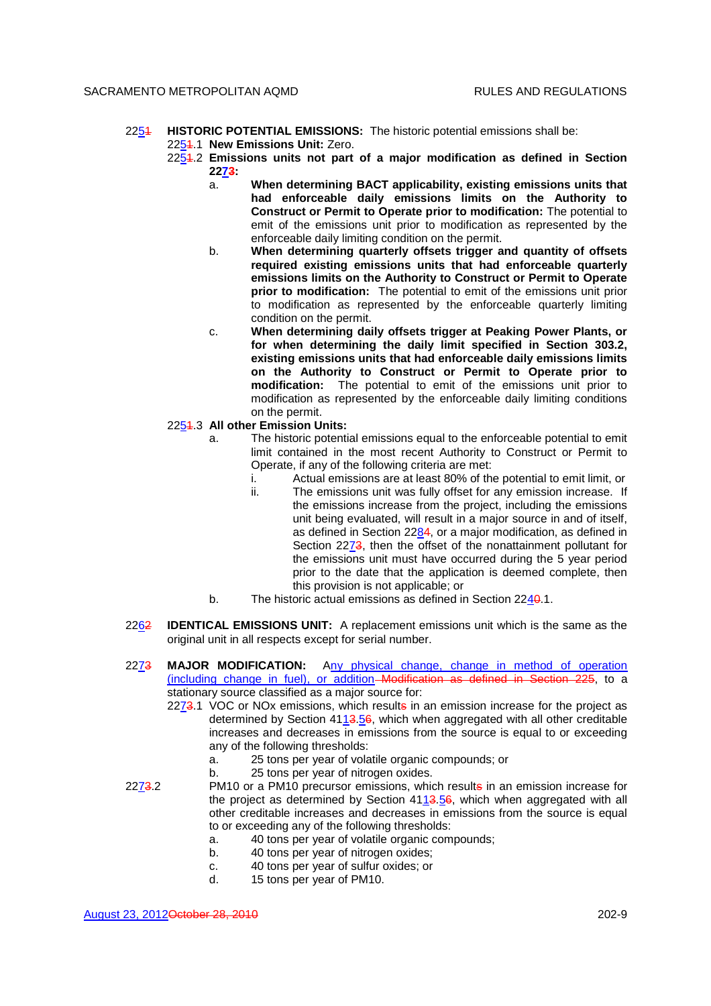### 2251 **HISTORIC POTENTIAL EMISSIONS:** The historic potential emissions shall be: 2251.1 **New Emissions Unit:** Zero.

- 2251.2 **Emissions units not part of a major modification as defined in Section 2273:**
	- a. **When determining BACT applicability, existing emissions units that had enforceable daily emissions limits on the Authority to Construct or Permit to Operate prior to modification:** The potential to emit of the emissions unit prior to modification as represented by the enforceable daily limiting condition on the permit.
	- b. **When determining quarterly offsets trigger and quantity of offsets required existing emissions units that had enforceable quarterly emissions limits on the Authority to Construct or Permit to Operate prior to modification:** The potential to emit of the emissions unit prior to modification as represented by the enforceable quarterly limiting condition on the permit.
	- c. **When determining daily offsets trigger at Peaking Power Plants, or for when determining the daily limit specified in Section 303.2, existing emissions units that had enforceable daily emissions limits on the Authority to Construct or Permit to Operate prior to modification:** The potential to emit of the emissions unit prior to modification as represented by the enforceable daily limiting conditions on the permit.

# 2251.3 **All other Emission Units:**

- a. The historic potential emissions equal to the enforceable potential to emit limit contained in the most recent Authority to Construct or Permit to Operate, if any of the following criteria are met:
	- i. Actual emissions are at least 80% of the potential to emit limit, or
	- ii. The emissions unit was fully offset for any emission increase. If the emissions increase from the project, including the emissions unit being evaluated, will result in a major source in and of itself, as defined in Section 2284, or a major modification, as defined in Section 2273, then the offset of the nonattainment pollutant for the emissions unit must have occurred during the 5 year period prior to the date that the application is deemed complete, then this provision is not applicable; or
- b. The historic actual emissions as defined in Section 2240.1.
- 2262 **IDENTICAL EMISSIONS UNIT:** A replacement emissions unit which is the same as the original unit in all respects except for serial number.
- 2273 **MAJOR MODIFICATION:** Any physical change, change in method of operation (including change in fuel), or addition Modification as defined in Section 225, to a stationary source classified as a major source for:
	- 2273.1 VOC or NOx emissions, which results in an emission increase for the project as determined by Section 4113.56, which when aggregated with all other creditable increases and decreases in emissions from the source is equal to or exceeding any of the following thresholds:
		- a. 25 tons per year of volatile organic compounds; or
		- b. 25 tons per year of nitrogen oxides.
- 2273.2 PM10 or a PM10 precursor emissions, which results in an emission increase for the project as determined by Section  $4113.56$ , which when aggregated with all other creditable increases and decreases in emissions from the source is equal to or exceeding any of the following thresholds:
	- a. 40 tons per year of volatile organic compounds;
	- b. 40 tons per year of nitrogen oxides;
	- c. 40 tons per year of sulfur oxides; or
	- d. 15 tons per year of PM10.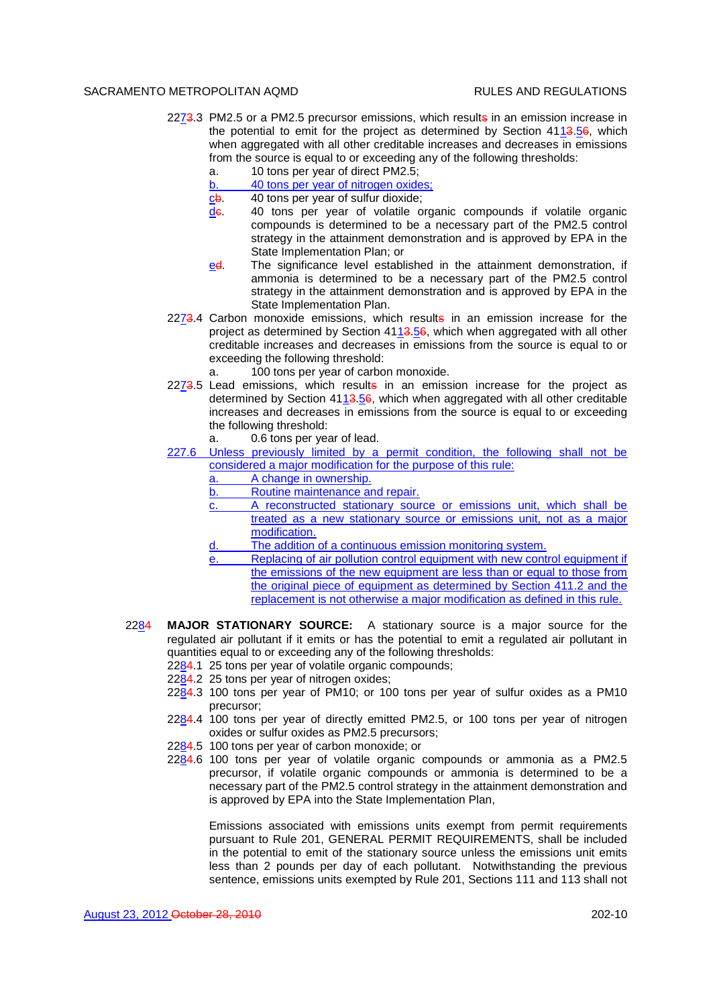- 2273.3 PM2.5 or a PM2.5 precursor emissions, which results in an emission increase in the potential to emit for the project as determined by Section 4113.56, which when aggregated with all other creditable increases and decreases in emissions from the source is equal to or exceeding any of the following thresholds:
	- a. 10 tons per year of direct PM2.5;
	- b. 40 tons per year of nitrogen oxides;
	- $c\mathsf{b}$ . 40 tons per year of sulfur dioxide;
	- de. 40 tons per year of volatile organic compounds if volatile organic compounds is determined to be a necessary part of the PM2.5 control strategy in the attainment demonstration and is approved by EPA in the State Implementation Plan; or
	- ed. The significance level established in the attainment demonstration, if ammonia is determined to be a necessary part of the PM2.5 control strategy in the attainment demonstration and is approved by EPA in the State Implementation Plan.
- $2273.4$  Carbon monoxide emissions, which results in an emission increase for the project as determined by Section  $41\overline{13.56}$ , which when aggregated with all other creditable increases and decreases in emissions from the source is equal to or exceeding the following threshold:

a. 100 tons per year of carbon monoxide.

 $2273.5$  Lead emissions, which results in an emission increase for the project as determined by Section 4113.56, which when aggregated with all other creditable increases and decreases in emissions from the source is equal to or exceeding the following threshold:

a. 0.6 tons per year of lead.

- 227.6 Unless previously limited by a permit condition, the following shall not be considered a major modification for the purpose of this rule:
	- a. A change in ownership.
	- b. Routine maintenance and repair.
	- c. A reconstructed stationary source or emissions unit, which shall be treated as a new stationary source or emissions unit, not as a major modification.
	- d. The addition of a continuous emission monitoring system.
	- e. Replacing of air pollution control equipment with new control equipment if the emissions of the new equipment are less than or equal to those from the original piece of equipment as determined by Section 411.2 and the replacement is not otherwise a major modification as defined in this rule.
- 2284 **MAJOR STATIONARY SOURCE:** A stationary source is a major source for the regulated air pollutant if it emits or has the potential to emit a regulated air pollutant in quantities equal to or exceeding any of the following thresholds:
	- 2284.1 25 tons per year of volatile organic compounds;
	- 2284.2 25 tons per year of nitrogen oxides;
	- 2284.3 100 tons per year of PM10; or 100 tons per year of sulfur oxides as a PM10 precursor;
	- 2284.4 100 tons per year of directly emitted PM2.5, or 100 tons per year of nitrogen oxides or sulfur oxides as PM2.5 precursors;
	- 2284.5 100 tons per year of carbon monoxide; or
	- 2284.6 100 tons per year of volatile organic compounds or ammonia as a PM2.5 precursor, if volatile organic compounds or ammonia is determined to be a necessary part of the PM2.5 control strategy in the attainment demonstration and is approved by EPA into the State Implementation Plan,

Emissions associated with emissions units exempt from permit requirements pursuant to Rule 201, GENERAL PERMIT REQUIREMENTS, shall be included in the potential to emit of the stationary source unless the emissions unit emits less than 2 pounds per day of each pollutant. Notwithstanding the previous sentence, emissions units exempted by Rule 201, Sections 111 and 113 shall not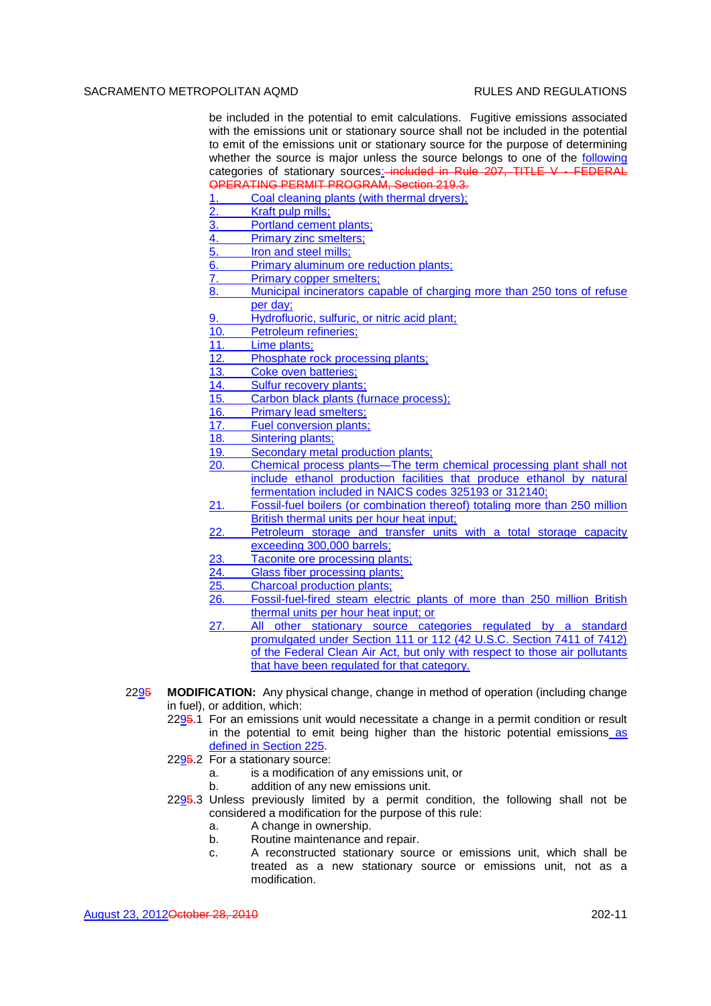be included in the potential to emit calculations. Fugitive emissions associated with the emissions unit or stationary source shall not be included in the potential to emit of the emissions unit or stationary source for the purpose of determining whether the source is major unless the source belongs to one of the following categories of stationary sources: included in Rule 207, TITLE V - FEDERAL OPERATING PERMIT PROGRAM, Section 219.3.

1. Coal cleaning plants (with thermal dryers);

- 2. Kraft pulp mills;
- 3. Portland cement plants;
- 4. Primary zinc smelters;
- 5. Iron and steel mills;
- 6. Primary aluminum ore reduction plants;
- 7. Primary copper smelters;
- 8. Municipal incinerators capable of charging more than 250 tons of refuse per day;
- 9. Hydrofluoric, sulfuric, or nitric acid plant;
- 10. Petroleum refineries;
- 11. Lime plants;
- 12. Phosphate rock processing plants;
- 13. Coke oven batteries;
- 14. Sulfur recovery plants;
- 15. Carbon black plants (furnace process);
- 16. Primary lead smelters;
- 17. Fuel conversion plants;
- 18. Sintering plants;
- 19. Secondary metal production plants;
- 20. Chemical process plants—The term chemical processing plant shall not include ethanol production facilities that produce ethanol by natural fermentation included in NAICS codes 325193 or 312140;
- 21. Fossil-fuel boilers (or combination thereof) totaling more than 250 million British thermal units per hour heat input;
- 22. Petroleum storage and transfer units with a total storage capacity exceeding 300,000 barrels;
- 23. Taconite ore processing plants;<br>24. Glass fiber processing plants:
- Glass fiber processing plants;
- 25. Charcoal production plants;
- 26. Fossil-fuel-fired steam electric plants of more than 250 million British thermal units per hour heat input; or
- 27. All other stationary source categories regulated by a standard promulgated under Section 111 or 112 (42 U.S.C. Section 7411 of 7412) of the Federal Clean Air Act, but only with respect to those air pollutants that have been regulated for that category.
- 2295 **MODIFICATION:** Any physical change, change in method of operation (including change in fuel), or addition, which:
	- 2295.1 For an emissions unit would necessitate a change in a permit condition or result in the potential to emit being higher than the historic potential emissions as defined in Section 225.
	- 2295.2 For a stationary source:
		- a. is a modification of any emissions unit, or
		- b. addition of any new emissions unit.
	- 2295.3 Unless previously limited by a permit condition, the following shall not be considered a modification for the purpose of this rule:
		- a. A change in ownership.
		- b. Routine maintenance and repair.
		- c. A reconstructed stationary source or emissions unit, which shall be treated as a new stationary source or emissions unit, not as a modification.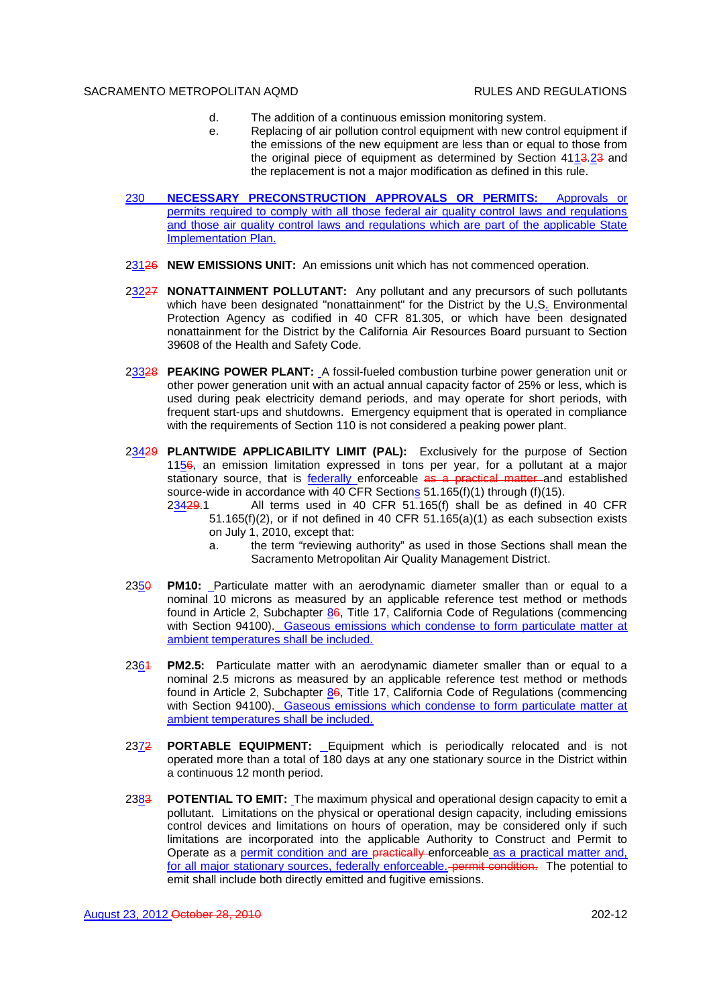- d. The addition of a continuous emission monitoring system.
	- e. Replacing of air pollution control equipment with new control equipment if the emissions of the new equipment are less than or equal to those from the original piece of equipment as determined by Section 4113.23 and the replacement is not a major modification as defined in this rule.
- 230 **NECESSARY PRECONSTRUCTION APPROVALS OR PERMITS:** Approvals or permits required to comply with all those federal air quality control laws and regulations and those air quality control laws and regulations which are part of the applicable State Implementation Plan.
- 23126 **NEW EMISSIONS UNIT:** An emissions unit which has not commenced operation.
- 23227 **NONATTAINMENT POLLUTANT:** Any pollutant and any precursors of such pollutants which have been designated "nonattainment" for the District by the U.S. Environmental Protection Agency as codified in 40 CFR 81.305, or which have been designated nonattainment for the District by the California Air Resources Board pursuant to Section 39608 of the Health and Safety Code.
- 23328 **PEAKING POWER PLANT:** A fossil-fueled combustion turbine power generation unit or other power generation unit with an actual annual capacity factor of 25% or less, which is used during peak electricity demand periods, and may operate for short periods, with frequent start-ups and shutdowns. Emergency equipment that is operated in compliance with the requirements of Section 110 is not considered a peaking power plant.
- 23429 **PLANTWIDE APPLICABILITY LIMIT (PAL):** Exclusively for the purpose of Section 1156, an emission limitation expressed in tons per year, for a pollutant at a major stationary source, that is federally enforceable as a practical matter and established source-wide in accordance with 40 CFR Sections 51.165(f)(1) through (f)(15).
	- 23429.1 All terms used in 40 CFR 51.165(f) shall be as defined in 40 CFR  $51.165(f)(2)$ , or if not defined in 40 CFR  $51.165(a)(1)$  as each subsection exists on July 1, 2010, except that:
		- a. the term "reviewing authority" as used in those Sections shall mean the Sacramento Metropolitan Air Quality Management District.
- 2350 **PM10:** Particulate matter with an aerodynamic diameter smaller than or equal to a nominal 10 microns as measured by an applicable reference test method or methods found in Article 2, Subchapter 86, Title 17, California Code of Regulations (commencing with Section 94100). Gaseous emissions which condense to form particulate matter at ambient temperatures shall be included.
- 2361 **PM2.5:** Particulate matter with an aerodynamic diameter smaller than or equal to a nominal 2.5 microns as measured by an applicable reference test method or methods found in Article 2, Subchapter  $\underline{86}$ , Title 17, California Code of Regulations (commencing with Section 94100). Gaseous emissions which condense to form particulate matter at ambient temperatures shall be included.
- 2372 **PORTABLE EQUIPMENT:** Equipment which is periodically relocated and is not operated more than a total of 180 days at any one stationary source in the District within a continuous 12 month period.
- 2383 **POTENTIAL TO EMIT:** The maximum physical and operational design capacity to emit a pollutant. Limitations on the physical or operational design capacity, including emissions control devices and limitations on hours of operation, may be considered only if such limitations are incorporated into the applicable Authority to Construct and Permit to Operate as a *permit condition and are practically*-enforceable as a practical matter and, for all major stationary sources, federally enforceable. **permit condition.** The potential to emit shall include both directly emitted and fugitive emissions.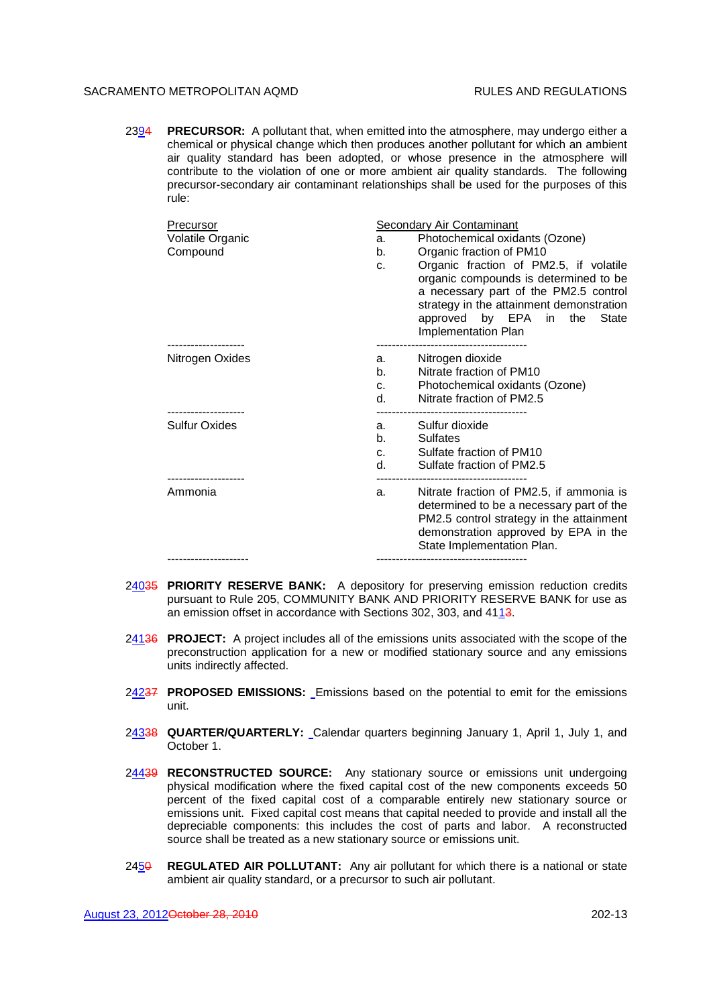2394 **PRECURSOR:** A pollutant that, when emitted into the atmosphere, may undergo either a chemical or physical change which then produces another pollutant for which an ambient air quality standard has been adopted, or whose presence in the atmosphere will contribute to the violation of one or more ambient air quality standards. The following precursor-secondary air contaminant relationships shall be used for the purposes of this rule:

| Precursor<br>Volatile Organic<br>Compound | <b>Secondary Air Contaminant</b><br>Photochemical oxidants (Ozone)<br>a.<br>Organic fraction of PM10<br>b.<br>Organic fraction of PM2.5, if volatile<br>C <sub>1</sub><br>organic compounds is determined to be<br>a necessary part of the PM2.5 control<br>strategy in the attainment demonstration<br>approved by EPA in the State |  |
|-------------------------------------------|--------------------------------------------------------------------------------------------------------------------------------------------------------------------------------------------------------------------------------------------------------------------------------------------------------------------------------------|--|
| ---------------                           | Implementation Plan                                                                                                                                                                                                                                                                                                                  |  |
| Nitrogen Oxides                           | Nitrogen dioxide<br>a.<br>Nitrate fraction of PM10<br>$b_{-}$<br>Photochemical oxidants (Ozone)<br>C <sub>1</sub><br>Nitrate fraction of PM2.5<br>d.                                                                                                                                                                                 |  |
| ---------------<br><b>Sulfur Oxides</b>   | Sulfur dioxide<br>а. –<br>$\mathbf{b}$ , $\mathbf{b}$<br><b>Sulfates</b><br>Sulfate fraction of PM10<br>C <sub>1</sub><br>$d_{\rm s}$ and $d_{\rm s}$<br>Sulfate fraction of PM2.5                                                                                                                                                   |  |
| Ammonia                                   | Nitrate fraction of PM2.5, if ammonia is<br>a.<br>determined to be a necessary part of the<br>PM2.5 control strategy in the attainment<br>demonstration approved by EPA in the<br>State Implementation Plan.                                                                                                                         |  |
|                                           |                                                                                                                                                                                                                                                                                                                                      |  |

- 24035 **PRIORITY RESERVE BANK:** A depository for preserving emission reduction credits pursuant to Rule 205, COMMUNITY BANK AND PRIORITY RESERVE BANK for use as an emission offset in accordance with Sections 302, 303, and 4113.
- 24136 **PROJECT:** A project includes all of the emissions units associated with the scope of the preconstruction application for a new or modified stationary source and any emissions units indirectly affected.
- 24237 **PROPOSED EMISSIONS:** Emissions based on the potential to emit for the emissions unit.
- 24338 **QUARTER/QUARTERLY:** Calendar quarters beginning January 1, April 1, July 1, and October 1.
- 24439 **RECONSTRUCTED SOURCE:** Any stationary source or emissions unit undergoing physical modification where the fixed capital cost of the new components exceeds 50 percent of the fixed capital cost of a comparable entirely new stationary source or emissions unit. Fixed capital cost means that capital needed to provide and install all the depreciable components: this includes the cost of parts and labor. A reconstructed source shall be treated as a new stationary source or emissions unit.
- 2450 **REGULATED AIR POLLUTANT:** Any air pollutant for which there is a national or state ambient air quality standard, or a precursor to such air pollutant.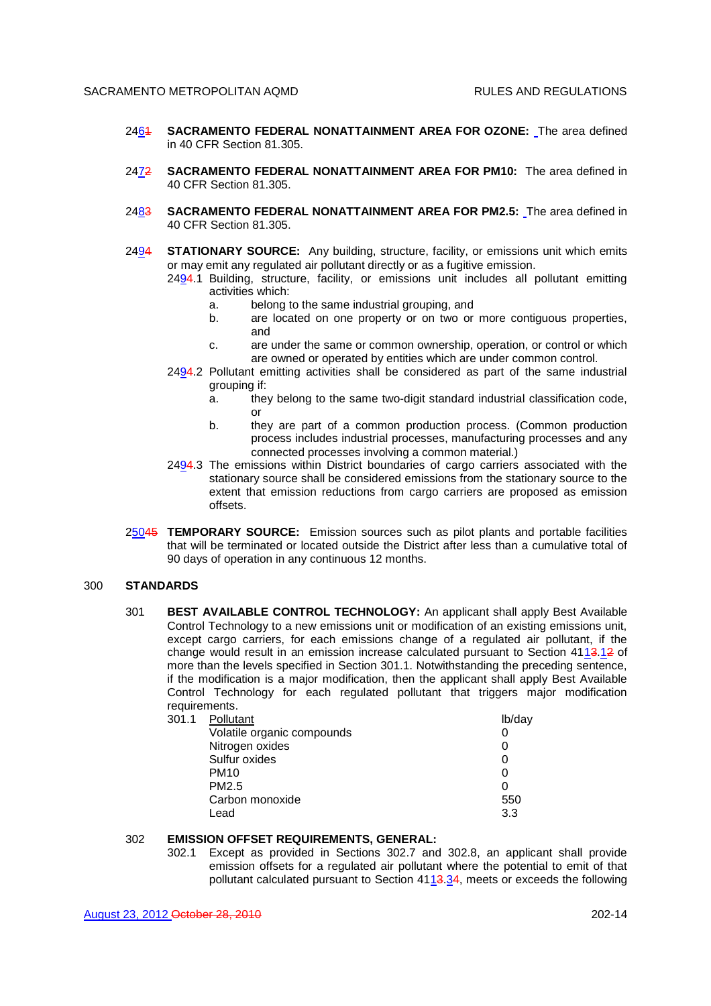- 2461 **SACRAMENTO FEDERAL NONATTAINMENT AREA FOR OZONE:** The area defined in 40 CFR Section 81.305.
- 2472 **SACRAMENTO FEDERAL NONATTAINMENT AREA FOR PM10:** The area defined in 40 CFR Section 81.305.
- 2483 **SACRAMENTO FEDERAL NONATTAINMENT AREA FOR PM2.5:** The area defined in 40 CFR Section 81.305.
- 2494 **STATIONARY SOURCE:** Any building, structure, facility, or emissions unit which emits or may emit any regulated air pollutant directly or as a fugitive emission.

2494.1 Building, structure, facility, or emissions unit includes all pollutant emitting activities which:

- a. belong to the same industrial grouping, and
- b. are located on one property or on two or more contiguous properties, and
- c. are under the same or common ownership, operation, or control or which are owned or operated by entities which are under common control.
- 2494.2 Pollutant emitting activities shall be considered as part of the same industrial grouping if:
	- a. they belong to the same two-digit standard industrial classification code, or
	- b. they are part of a common production process. (Common production process includes industrial processes, manufacturing processes and any connected processes involving a common material.)
- 2494.3 The emissions within District boundaries of cargo carriers associated with the stationary source shall be considered emissions from the stationary source to the extent that emission reductions from cargo carriers are proposed as emission offsets.
- 25045 **TEMPORARY SOURCE:** Emission sources such as pilot plants and portable facilities that will be terminated or located outside the District after less than a cumulative total of 90 days of operation in any continuous 12 months.

# 300 **STANDARDS**

301 **BEST AVAILABLE CONTROL TECHNOLOGY:** An applicant shall apply Best Available Control Technology to a new emissions unit or modification of an existing emissions unit, except cargo carriers, for each emissions change of a regulated air pollutant, if the change would result in an emission increase calculated pursuant to Section 4113.12 of more than the levels specified in Section 301.1. Notwithstanding the preceding sentence, if the modification is a major modification, then the applicant shall apply Best Available Control Technology for each regulated pollutant that triggers major modification requirements.<br>301.1 Polluti

| 301.1 Pollutant            | lb/day |
|----------------------------|--------|
| Volatile organic compounds |        |
| Nitrogen oxides            |        |
| Sulfur oxides              |        |
| <b>PM10</b>                |        |
| PM <sub>2.5</sub>          |        |
| Carbon monoxide            | 550    |
| Lead                       | 3.3    |

### 302 **EMISSION OFFSET REQUIREMENTS, GENERAL:**

302.1 Except as provided in Sections 302.7 and 302.8, an applicant shall provide emission offsets for a regulated air pollutant where the potential to emit of that pollutant calculated pursuant to Section  $4113.34$ , meets or exceeds the following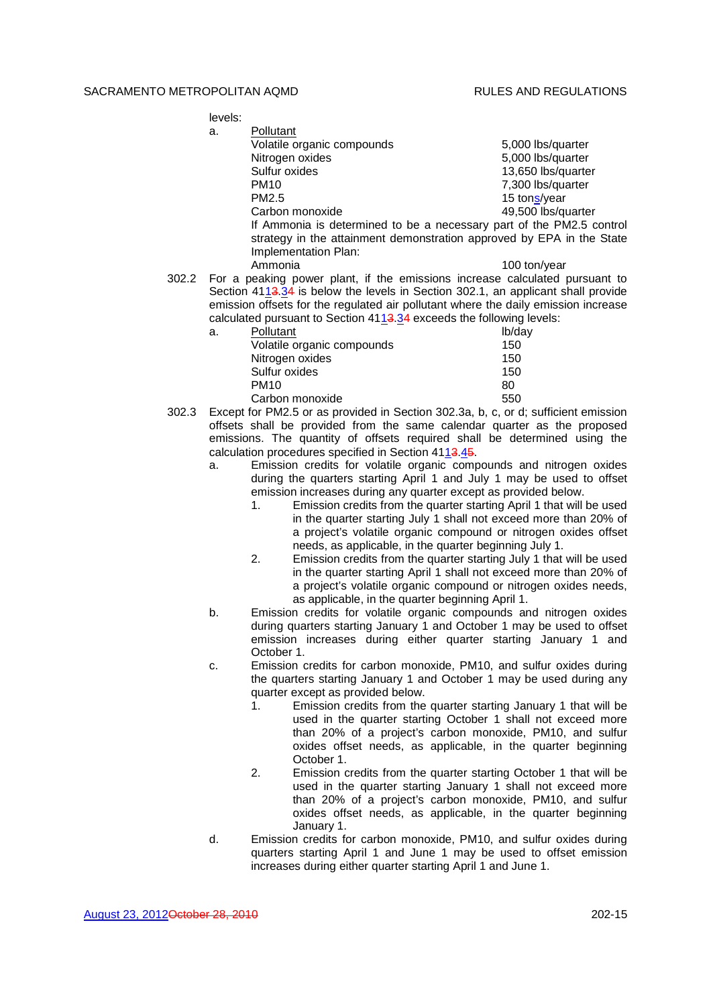levels:

| a. | Pollutant                                                             |                    |
|----|-----------------------------------------------------------------------|--------------------|
|    | Volatile organic compounds                                            | 5,000 lbs/quarter  |
|    | Nitrogen oxides                                                       | 5,000 lbs/quarter  |
|    | Sulfur oxides                                                         | 13,650 lbs/quarter |
|    | <b>PM10</b>                                                           | 7,300 lbs/quarter  |
|    | PM <sub>2.5</sub>                                                     | 15 tons/year       |
|    | Carbon monoxide                                                       | 49,500 lbs/quarter |
|    | If Ammonia is determined to be a necessary part of the PM2.5 control  |                    |
|    | strategy in the attainment demonstration approved by EPA in the State |                    |
|    | Implementation Plan:                                                  |                    |
|    | Ammonia                                                               | 100 ton/year       |
|    | $\sim$ $\sim$ $\sim$ $\sim$ $\sim$                                    |                    |

302.2 For a peaking power plant, if the emissions increase calculated pursuant to Section 4113.34 is below the levels in Section 302.1, an applicant shall provide emission offsets for the regulated air pollutant where the daily emission increase calculated pursuant to Section  $4113.34$  exceeds the following levels:

| a. | Pollutant                  | lb/day |
|----|----------------------------|--------|
|    | Volatile organic compounds | 150    |
|    | Nitrogen oxides            | 150    |
|    | Sulfur oxides              | 150    |
|    | <b>PM10</b>                | 80     |
|    | Carbon monoxide            | 550    |

302.3 Except for PM2.5 or as provided in Section 302.3a, b, c, or d; sufficient emission offsets shall be provided from the same calendar quarter as the proposed emissions. The quantity of offsets required shall be determined using the calculation procedures specified in Section 4113.45.

- a. Emission credits for volatile organic compounds and nitrogen oxides during the quarters starting April 1 and July 1 may be used to offset emission increases during any quarter except as provided below.
	- 1. Emission credits from the quarter starting April 1 that will be used in the quarter starting July 1 shall not exceed more than 20% of a project's volatile organic compound or nitrogen oxides offset needs, as applicable, in the quarter beginning July 1.
	- 2. Emission credits from the quarter starting July 1 that will be used in the quarter starting April 1 shall not exceed more than 20% of a project's volatile organic compound or nitrogen oxides needs, as applicable, in the quarter beginning April 1.
- b. Emission credits for volatile organic compounds and nitrogen oxides during quarters starting January 1 and October 1 may be used to offset emission increases during either quarter starting January 1 and October 1.
- c. Emission credits for carbon monoxide, PM10, and sulfur oxides during the quarters starting January 1 and October 1 may be used during any quarter except as provided below.
	- 1. Emission credits from the quarter starting January 1 that will be used in the quarter starting October 1 shall not exceed more than 20% of a project's carbon monoxide, PM10, and sulfur oxides offset needs, as applicable, in the quarter beginning October 1.
	- 2. Emission credits from the quarter starting October 1 that will be used in the quarter starting January 1 shall not exceed more than 20% of a project's carbon monoxide, PM10, and sulfur oxides offset needs, as applicable, in the quarter beginning January 1.
- d. Emission credits for carbon monoxide, PM10, and sulfur oxides during quarters starting April 1 and June 1 may be used to offset emission increases during either quarter starting April 1 and June 1.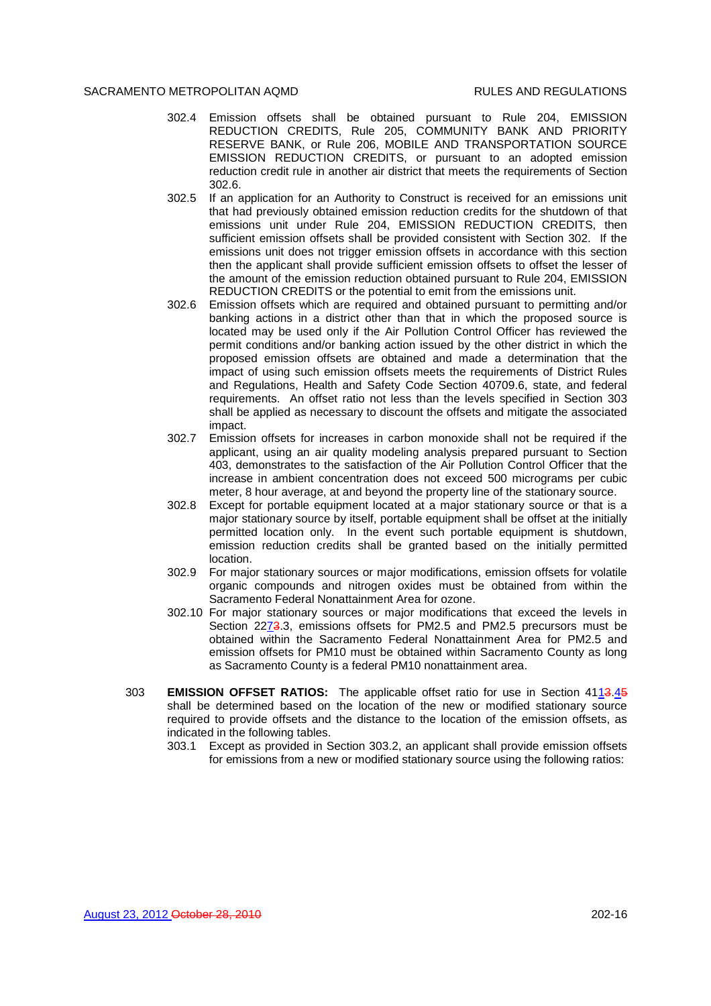- 302.4 Emission offsets shall be obtained pursuant to Rule 204, EMISSION REDUCTION CREDITS, Rule 205, COMMUNITY BANK AND PRIORITY RESERVE BANK, or Rule 206, MOBILE AND TRANSPORTATION SOURCE EMISSION REDUCTION CREDITS, or pursuant to an adopted emission reduction credit rule in another air district that meets the requirements of Section 302.6.
- 302.5 If an application for an Authority to Construct is received for an emissions unit that had previously obtained emission reduction credits for the shutdown of that emissions unit under Rule 204, EMISSION REDUCTION CREDITS, then sufficient emission offsets shall be provided consistent with Section 302. If the emissions unit does not trigger emission offsets in accordance with this section then the applicant shall provide sufficient emission offsets to offset the lesser of the amount of the emission reduction obtained pursuant to Rule 204, EMISSION REDUCTION CREDITS or the potential to emit from the emissions unit.
- 302.6 Emission offsets which are required and obtained pursuant to permitting and/or banking actions in a district other than that in which the proposed source is located may be used only if the Air Pollution Control Officer has reviewed the permit conditions and/or banking action issued by the other district in which the proposed emission offsets are obtained and made a determination that the impact of using such emission offsets meets the requirements of District Rules and Regulations, Health and Safety Code Section 40709.6, state, and federal requirements. An offset ratio not less than the levels specified in Section 303 shall be applied as necessary to discount the offsets and mitigate the associated impact.
- 302.7 Emission offsets for increases in carbon monoxide shall not be required if the applicant, using an air quality modeling analysis prepared pursuant to Section 403, demonstrates to the satisfaction of the Air Pollution Control Officer that the increase in ambient concentration does not exceed 500 micrograms per cubic meter, 8 hour average, at and beyond the property line of the stationary source.
- 302.8 Except for portable equipment located at a major stationary source or that is a major stationary source by itself, portable equipment shall be offset at the initially permitted location only. In the event such portable equipment is shutdown, emission reduction credits shall be granted based on the initially permitted location.
- 302.9 For major stationary sources or major modifications, emission offsets for volatile organic compounds and nitrogen oxides must be obtained from within the Sacramento Federal Nonattainment Area for ozone.
- 302.10 For major stationary sources or major modifications that exceed the levels in Section 2273.3, emissions offsets for PM2.5 and PM2.5 precursors must be obtained within the Sacramento Federal Nonattainment Area for PM2.5 and emission offsets for PM10 must be obtained within Sacramento County as long as Sacramento County is a federal PM10 nonattainment area.
- 303 **EMISSION OFFSET RATIOS:** The applicable offset ratio for use in Section 4113.45 shall be determined based on the location of the new or modified stationary source required to provide offsets and the distance to the location of the emission offsets, as indicated in the following tables.
	- 303.1 Except as provided in Section 303.2, an applicant shall provide emission offsets for emissions from a new or modified stationary source using the following ratios: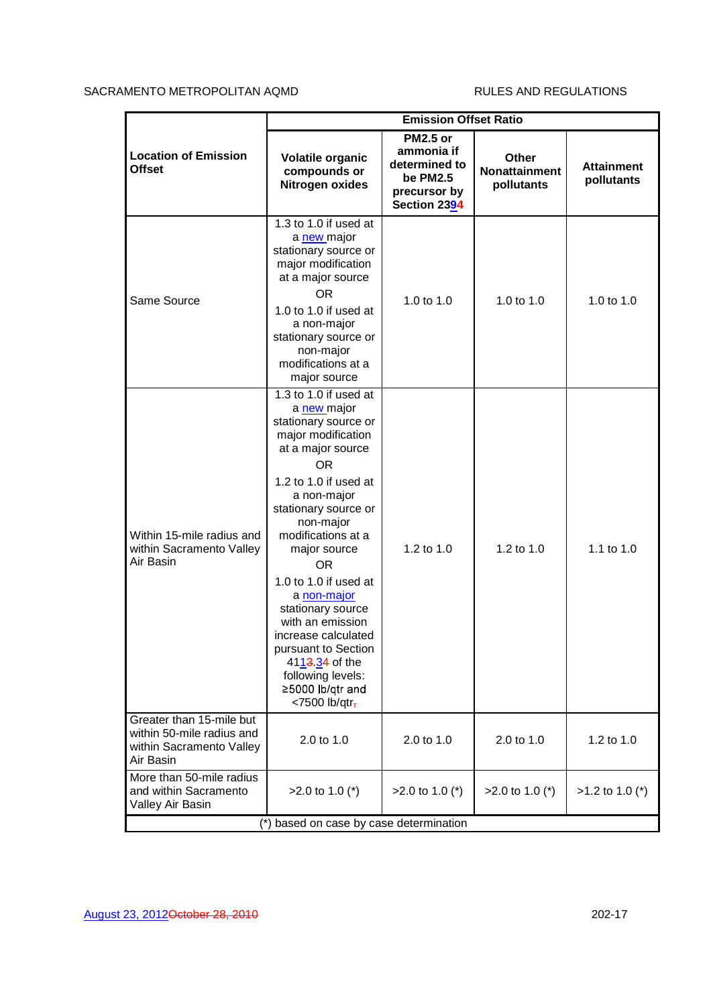| <b>Emission Offset Ratio</b>                                                                                                                                                                                                                                                                                                                                                                                                                                                   |                                                                                            |                                             |                                 |
|--------------------------------------------------------------------------------------------------------------------------------------------------------------------------------------------------------------------------------------------------------------------------------------------------------------------------------------------------------------------------------------------------------------------------------------------------------------------------------|--------------------------------------------------------------------------------------------|---------------------------------------------|---------------------------------|
| Volatile organic<br>compounds or<br>Nitrogen oxides                                                                                                                                                                                                                                                                                                                                                                                                                            | <b>PM2.5 or</b><br>ammonia if<br>determined to<br>be PM2.5<br>precursor by<br>Section 2394 | <b>Other</b><br>Nonattainment<br>pollutants | <b>Attainment</b><br>pollutants |
| 1.3 to 1.0 if used at<br>a new major<br>stationary source or<br>major modification<br>at a major source<br><b>OR</b><br>1.0 to 1.0 if used at<br>a non-major<br>stationary source or<br>non-major<br>modifications at a<br>major source                                                                                                                                                                                                                                        | 1.0 to 1.0                                                                                 | 1.0 to $1.0$                                | 1.0 to 1.0                      |
| 1.3 to 1.0 if used at<br>a new major<br>stationary source or<br>major modification<br>at a major source<br><b>OR</b><br>1.2 to 1.0 if used at<br>a non-major<br>stationary source or<br>non-major<br>modifications at a<br>major source<br><b>OR</b><br>1.0 to 1.0 if used at<br>a non-major<br>stationary source<br>with an emission<br>increase calculated<br>pursuant to Section<br>4113.34 of the<br>following levels:<br>≥5000 lb/qtr and<br>$<$ 7500 lb/qtr <sub>7</sub> | 1.2 to 1.0                                                                                 | 1.2 to 1.0                                  | 1.1 to 1.0                      |
| 2.0 to 1.0                                                                                                                                                                                                                                                                                                                                                                                                                                                                     | 2.0 to 1.0                                                                                 | 2.0 to 1.0                                  | 1.2 to 1.0                      |
| $>2.0$ to 1.0 (*)                                                                                                                                                                                                                                                                                                                                                                                                                                                              | $>2.0$ to 1.0 (*)                                                                          | $>2.0$ to 1.0 (*)                           | $>1.2$ to 1.0 (*)               |
|                                                                                                                                                                                                                                                                                                                                                                                                                                                                                |                                                                                            | (*) based on case by case determination     |                                 |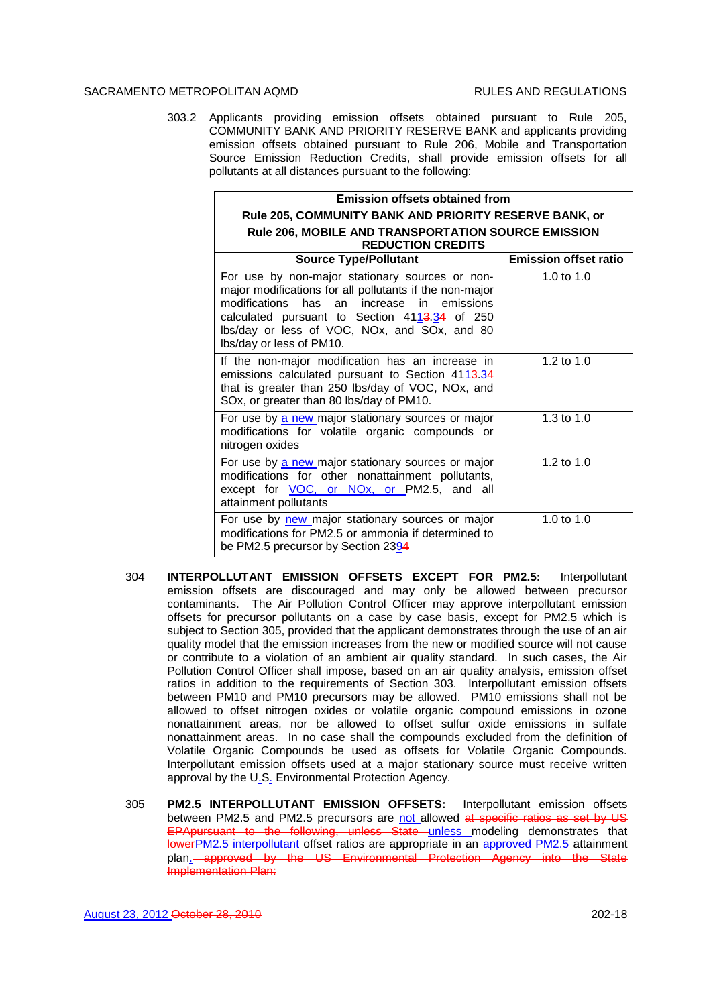303.2 Applicants providing emission offsets obtained pursuant to Rule 205, COMMUNITY BANK AND PRIORITY RESERVE BANK and applicants providing emission offsets obtained pursuant to Rule 206, Mobile and Transportation Source Emission Reduction Credits, shall provide emission offsets for all pollutants at all distances pursuant to the following:

| <b>Emission offsets obtained from</b>                                                                                                                                                                                                                                                                            |                              |
|------------------------------------------------------------------------------------------------------------------------------------------------------------------------------------------------------------------------------------------------------------------------------------------------------------------|------------------------------|
| Rule 205, COMMUNITY BANK AND PRIORITY RESERVE BANK, or                                                                                                                                                                                                                                                           |                              |
| <b>Rule 206, MOBILE AND TRANSPORTATION SOURCE EMISSION</b>                                                                                                                                                                                                                                                       |                              |
| <b>REDUCTION CREDITS</b><br><b>Source Type/Pollutant</b>                                                                                                                                                                                                                                                         | <b>Emission offset ratio</b> |
|                                                                                                                                                                                                                                                                                                                  |                              |
| For use by non-major stationary sources or non-<br>major modifications for all pollutants if the non-major<br>modifications<br>has<br>in<br>emissions<br>an<br>increase<br>calculated pursuant to Section 411 <del>3.34</del> of 250<br>Ibs/day or less of VOC, NOx, and SOx, and 80<br>Ibs/day or less of PM10. | 1.0 to $1.0$                 |
| If the non-major modification has an increase in<br>emissions calculated pursuant to Section 4113.34<br>that is greater than 250 lbs/day of VOC, NOx, and<br>SOx, or greater than 80 lbs/day of PM10.                                                                                                            | 1.2 to $1.0$                 |
| For use by a new major stationary sources or major<br>modifications for volatile organic compounds or<br>nitrogen oxides                                                                                                                                                                                         | 1.3 to $1.0$                 |
| For use by a new major stationary sources or major<br>modifications for other nonattainment pollutants,<br>except for <b>VOC</b> , or NO <sub>x</sub> , or PM2.5, and all<br>attainment pollutants                                                                                                               | 1.2 to $1.0$                 |
| For use by new major stationary sources or major<br>modifications for PM2.5 or ammonia if determined to<br>be PM2.5 precursor by Section 23 <u>9</u> 4                                                                                                                                                           | 1.0 to $1.0$                 |

- 304 **INTERPOLLUTANT EMISSION OFFSETS EXCEPT FOR PM2.5:** Interpollutant emission offsets are discouraged and may only be allowed between precursor contaminants. The Air Pollution Control Officer may approve interpollutant emission offsets for precursor pollutants on a case by case basis, except for PM2.5 which is subject to Section 305, provided that the applicant demonstrates through the use of an air quality model that the emission increases from the new or modified source will not cause or contribute to a violation of an ambient air quality standard. In such cases, the Air Pollution Control Officer shall impose, based on an air quality analysis, emission offset ratios in addition to the requirements of Section 303. Interpollutant emission offsets between PM10 and PM10 precursors may be allowed. PM10 emissions shall not be allowed to offset nitrogen oxides or volatile organic compound emissions in ozone nonattainment areas, nor be allowed to offset sulfur oxide emissions in sulfate nonattainment areas. In no case shall the compounds excluded from the definition of Volatile Organic Compounds be used as offsets for Volatile Organic Compounds. Interpollutant emission offsets used at a major stationary source must receive written approval by the U.S. Environmental Protection Agency.
- 305 **PM2.5 INTERPOLLUTANT EMISSION OFFSETS:** Interpollutant emission offsets between PM2.5 and PM2.5 precursors are not allowed at specific ratios as set by US EPApursuant to the following, unless State unless modeling demonstrates that lowerPM2.5 interpollutant offset ratios are appropriate in an approved PM2.5 attainment plan. approved by the US Environmental Protection Agency into the State Implementation Plan: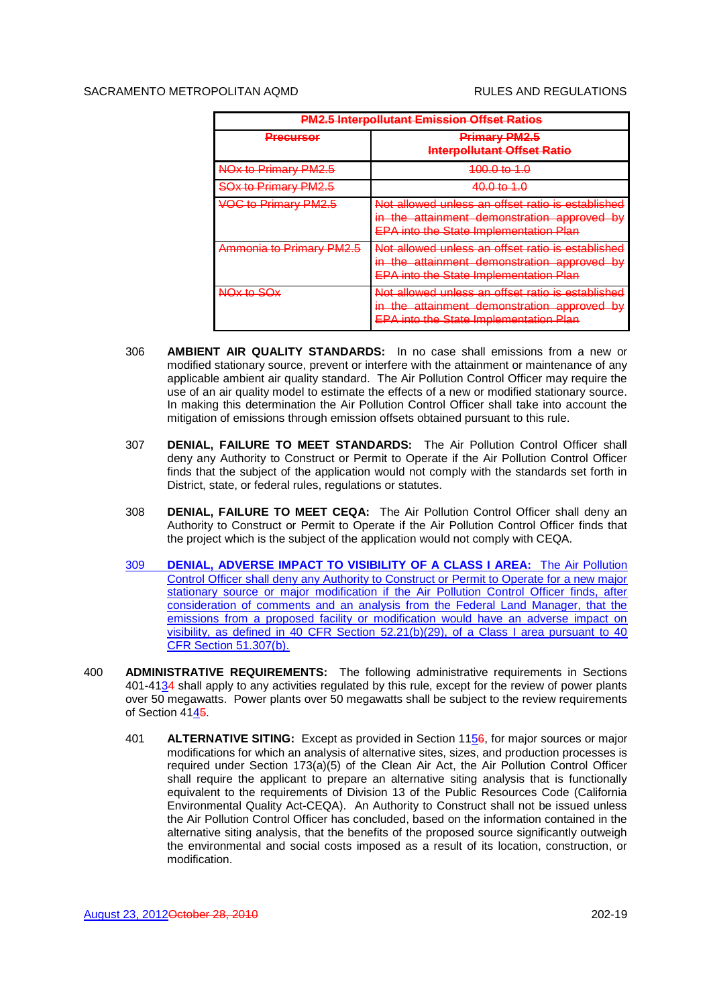| <b>PM2.5 Interpollutant Emission Offset Ratios</b> |                                                                                                                                                   |  |
|----------------------------------------------------|---------------------------------------------------------------------------------------------------------------------------------------------------|--|
| <u>Precursor</u>                                   | <b>Primary PM2.5</b><br><b>Interpollutant Offset Ratio</b>                                                                                        |  |
| NO <sub>x</sub> to Primary PM2.5                   | 100.0 to 1.0                                                                                                                                      |  |
| <b>SOx to Primary PM2.5</b>                        | 40.0 to 1.0                                                                                                                                       |  |
| <b>VOC to Primary PM2.5</b>                        | Not allowed unless an offset ratio is established<br>in the attainment demonstration approved by<br><b>EPA into the State Implementation Plan</b> |  |
| Ammonia to Primary PM2.5                           | Not allowed unless an offset ratio is established<br>in the attainment demonstration approved by<br><b>EPA into the State Implementation Plan</b> |  |
| NOx to SOx                                         | Not allowed unless an offset ratio is established<br>in the attainment demonstration approved by<br><b>EPA into the State Implementation Plan</b> |  |

- 306 **AMBIENT AIR QUALITY STANDARDS:** In no case shall emissions from a new or modified stationary source, prevent or interfere with the attainment or maintenance of any applicable ambient air quality standard. The Air Pollution Control Officer may require the use of an air quality model to estimate the effects of a new or modified stationary source. In making this determination the Air Pollution Control Officer shall take into account the mitigation of emissions through emission offsets obtained pursuant to this rule.
- 307 **DENIAL, FAILURE TO MEET STANDARDS:** The Air Pollution Control Officer shall deny any Authority to Construct or Permit to Operate if the Air Pollution Control Officer finds that the subject of the application would not comply with the standards set forth in District, state, or federal rules, regulations or statutes.
- 308 **DENIAL, FAILURE TO MEET CEQA:** The Air Pollution Control Officer shall deny an Authority to Construct or Permit to Operate if the Air Pollution Control Officer finds that the project which is the subject of the application would not comply with CEQA.
- 309 **DENIAL, ADVERSE IMPACT TO VISIBILITY OF A CLASS I AREA:** The Air Pollution Control Officer shall deny any Authority to Construct or Permit to Operate for a new major stationary source or major modification if the Air Pollution Control Officer finds, after consideration of comments and an analysis from the Federal Land Manager, that the emissions from a proposed facility or modification would have an adverse impact on visibility, as defined in 40 CFR Section 52.21(b)(29), of a Class I area pursuant to 40 CFR Section 51.307(b).
- 400 **ADMINISTRATIVE REQUIREMENTS:** The following administrative requirements in Sections 401-4134 shall apply to any activities regulated by this rule, except for the review of power plants over 50 megawatts. Power plants over 50 megawatts shall be subject to the review requirements of Section 4145.
	- 401 **ALTERNATIVE SITING:** Except as provided in Section 1156, for major sources or major modifications for which an analysis of alternative sites, sizes, and production processes is required under Section 173(a)(5) of the Clean Air Act, the Air Pollution Control Officer shall require the applicant to prepare an alternative siting analysis that is functionally equivalent to the requirements of Division 13 of the Public Resources Code (California Environmental Quality Act-CEQA). An Authority to Construct shall not be issued unless the Air Pollution Control Officer has concluded, based on the information contained in the alternative siting analysis, that the benefits of the proposed source significantly outweigh the environmental and social costs imposed as a result of its location, construction, or modification.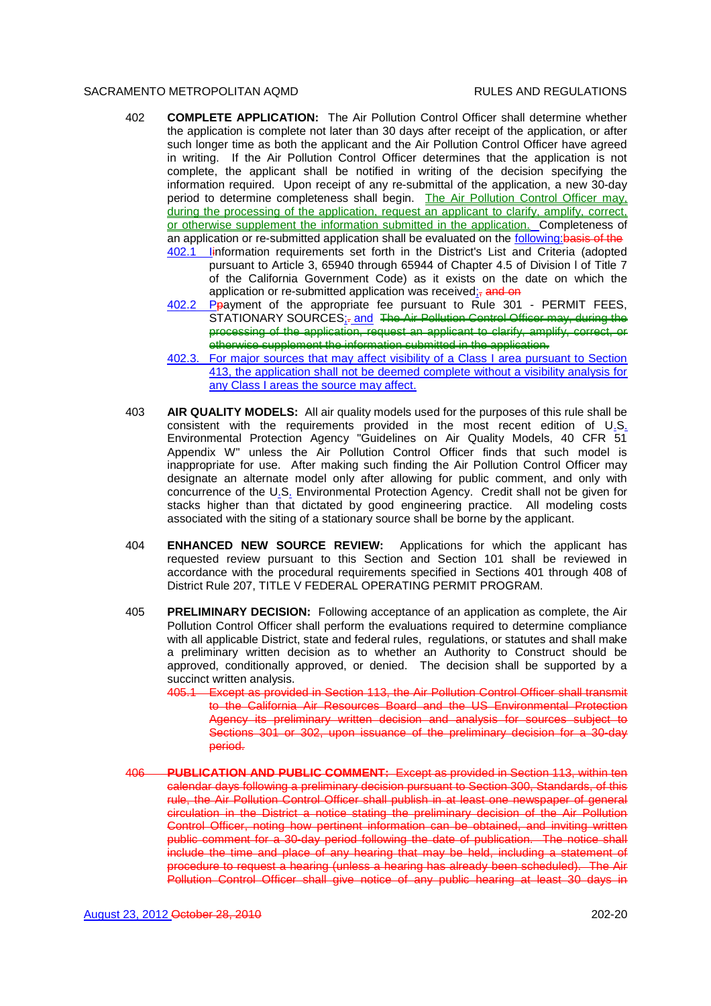- 402 **COMPLETE APPLICATION:** The Air Pollution Control Officer shall determine whether the application is complete not later than 30 days after receipt of the application, or after such longer time as both the applicant and the Air Pollution Control Officer have agreed in writing. If the Air Pollution Control Officer determines that the application is not complete, the applicant shall be notified in writing of the decision specifying the information required. Upon receipt of any re-submittal of the application, a new 30-day period to determine completeness shall begin. The Air Pollution Control Officer may, during the processing of the application, request an applicant to clarify, amplify, correct, or otherwise supplement the information submitted in the application. Completeness of an application or re-submitted application shall be evaluated on the following: basis of the
	- 402.1 Iinformation requirements set forth in the District's List and Criteria (adopted pursuant to Article 3, 65940 through 65944 of Chapter 4.5 of Division l of Title 7 of the California Government Code) as it exists on the date on which the application or re-submitted application was received; and on
	- 402.2 Ppayment of the appropriate fee pursuant to Rule 301 PERMIT FEES, STATIONARY SOURCES: - and The Air Pollution Control Officer may, during the processing of the application, request an applicant to clarify, amplify, correct, or otherwise supplement the information submitted in the application.
	- 402.3. For major sources that may affect visibility of a Class I area pursuant to Section 413, the application shall not be deemed complete without a visibility analysis for any Class I areas the source may affect.
- 403 **AIR QUALITY MODELS:** All air quality models used for the purposes of this rule shall be consistent with the requirements provided in the most recent edition of U.S. Environmental Protection Agency "Guidelines on Air Quality Models, 40 CFR 51 Appendix W" unless the Air Pollution Control Officer finds that such model is inappropriate for use. After making such finding the Air Pollution Control Officer may designate an alternate model only after allowing for public comment, and only with concurrence of the U.S. Environmental Protection Agency. Credit shall not be given for stacks higher than that dictated by good engineering practice. All modeling costs associated with the siting of a stationary source shall be borne by the applicant.
- 404 **ENHANCED NEW SOURCE REVIEW:** Applications for which the applicant has requested review pursuant to this Section and Section 101 shall be reviewed in accordance with the procedural requirements specified in Sections 401 through 408 of District Rule 207, TITLE V FEDERAL OPERATING PERMIT PROGRAM.
- 405 **PRELIMINARY DECISION:** Following acceptance of an application as complete, the Air Pollution Control Officer shall perform the evaluations required to determine compliance with all applicable District, state and federal rules, regulations, or statutes and shall make a preliminary written decision as to whether an Authority to Construct should be approved, conditionally approved, or denied. The decision shall be supported by a succinct written analysis.
	- 405.1 Except as provided in Section 113, the Air Pollution Control Officer shall transmit to the California Air Resources Board and the US Environmental Protection Agency its preliminary written decision and analysis for sources subject to Sections 301 or 302, upon issuance of the preliminary decision for a 30-day period.
- 406 **PUBLICATION AND PUBLIC COMMENT:** Except as provided in Section 113, within ten calendar days following a preliminary decision pursuant to Section 300, Standards, of this rule, the Air Pollution Control Officer shall publish in at least one newspaper of general circulation in the District a notice stating the preliminary decision of the Air Pollution Control Officer, noting how pertinent information can be obtained, and inviting written public comment for a 30-day period following the date of publication. The notice shall include the time and place of any hearing that may be held, including a statement of procedure to request a hearing (unless a hearing has already been scheduled). The Air Pollution Control Officer shall give notice of any public hearing at least 30 days in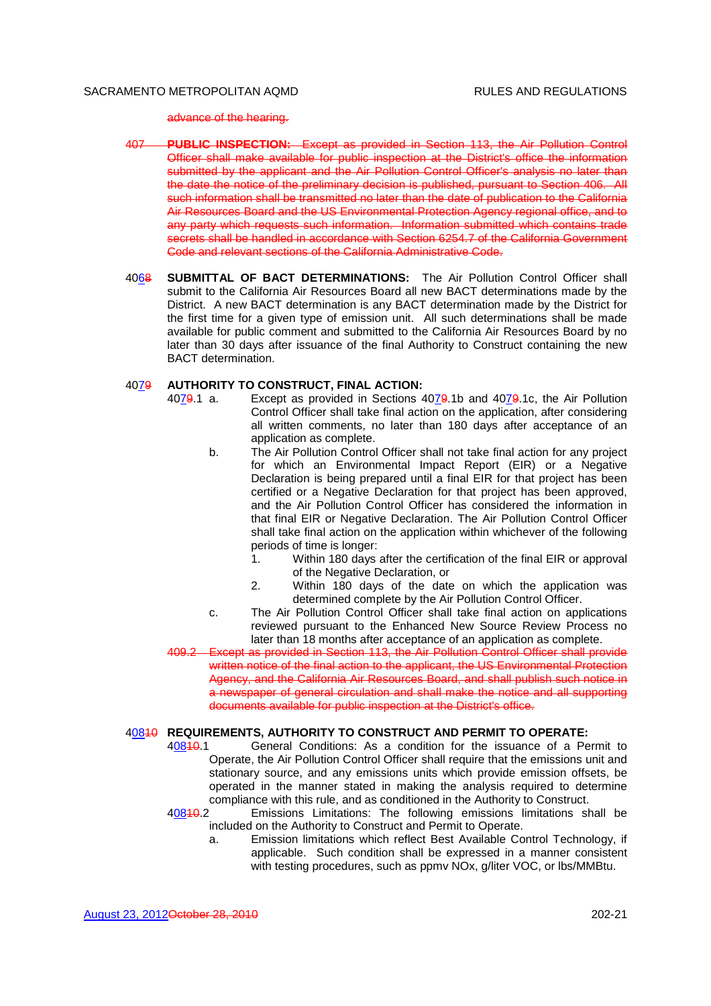advance of the hearing.

- 407 **PUBLIC INSPECTION:** Except as provided in Section 113, the Air Pollution Control Officer shall make available for public inspection at the District's office the information submitted by the applicant and the Air Pollution Control Officer's analysis no later than the date the notice of the preliminary decision is published, pursuant to Section 406. All such information shall be transmitted no later than the date of publication to the California Air Resources Board and the US Environmental Protection Agency regional office, and to any party which requests such information. Information submitted which contains trade secrets shall be handled in accordance with Section 6254.7 of the California Government Code and relevant sections of the California Administrative Code.
- 4068 **SUBMITTAL OF BACT DETERMINATIONS:** The Air Pollution Control Officer shall submit to the California Air Resources Board all new BACT determinations made by the District. A new BACT determination is any BACT determination made by the District for the first time for a given type of emission unit. All such determinations shall be made available for public comment and submitted to the California Air Resources Board by no later than 30 days after issuance of the final Authority to Construct containing the new BACT determination.

### 4079 **AUTHORITY TO CONSTRUCT, FINAL ACTION:**

4079.1 a. Except as provided in Sections 4079.1b and 4079.1c, the Air Pollution Control Officer shall take final action on the application, after considering all written comments, no later than 180 days after acceptance of an application as complete.

- b. The Air Pollution Control Officer shall not take final action for any project for which an Environmental Impact Report (EIR) or a Negative Declaration is being prepared until a final EIR for that project has been certified or a Negative Declaration for that project has been approved, and the Air Pollution Control Officer has considered the information in that final EIR or Negative Declaration. The Air Pollution Control Officer shall take final action on the application within whichever of the following periods of time is longer:
	- 1. Within 180 days after the certification of the final EIR or approval of the Negative Declaration, or
	- 2. Within 180 days of the date on which the application was determined complete by the Air Pollution Control Officer.
- c. The Air Pollution Control Officer shall take final action on applications reviewed pursuant to the Enhanced New Source Review Process no later than 18 months after acceptance of an application as complete.
- 409.2 Except as provided in Section 113, the Air Pollution Control Officer shall provide written notice of the final action to the applicant, the US Environmental Protection Agency, and the California Air Resources Board, and shall publish such notice in a newspaper of general circulation and shall make the notice and all supporting documents available for public inspection at the District's office.

# 40810 **REQUIREMENTS, AUTHORITY TO CONSTRUCT AND PERMIT TO OPERATE:**

- 40810.1 General Conditions: As a condition for the issuance of a Permit to Operate, the Air Pollution Control Officer shall require that the emissions unit and stationary source, and any emissions units which provide emission offsets, be operated in the manner stated in making the analysis required to determine compliance with this rule, and as conditioned in the Authority to Construct.
- 40810.2 Emissions Limitations: The following emissions limitations shall be included on the Authority to Construct and Permit to Operate.
	- a. Emission limitations which reflect Best Available Control Technology, if applicable. Such condition shall be expressed in a manner consistent with testing procedures, such as ppmv NOx, g/liter VOC, or lbs/MMBtu.

August 23, 2012October 28, 2010 202-21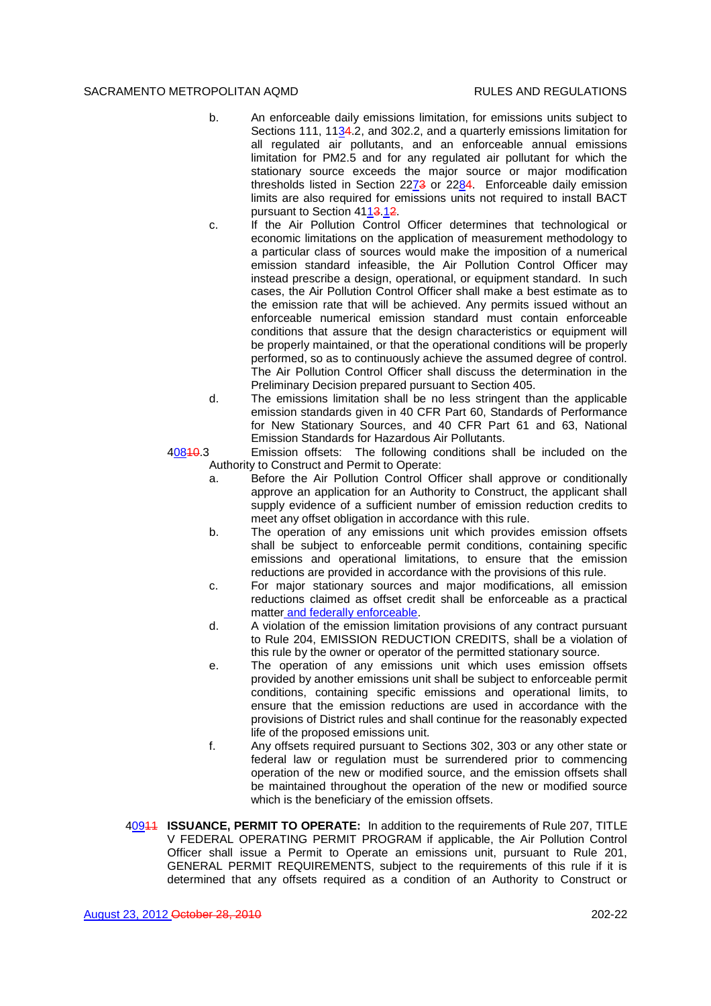- b. An enforceable daily emissions limitation, for emissions units subject to Sections 111, 1134.2, and 302.2, and a quarterly emissions limitation for all regulated air pollutants, and an enforceable annual emissions limitation for PM2.5 and for any regulated air pollutant for which the stationary source exceeds the major source or major modification thresholds listed in Section 2273 or 2284. Enforceable daily emission limits are also required for emissions units not required to install BACT pursuant to Section 4113.12.
- c. If the Air Pollution Control Officer determines that technological or economic limitations on the application of measurement methodology to a particular class of sources would make the imposition of a numerical emission standard infeasible, the Air Pollution Control Officer may instead prescribe a design, operational, or equipment standard. In such cases, the Air Pollution Control Officer shall make a best estimate as to the emission rate that will be achieved. Any permits issued without an enforceable numerical emission standard must contain enforceable conditions that assure that the design characteristics or equipment will be properly maintained, or that the operational conditions will be properly performed, so as to continuously achieve the assumed degree of control. The Air Pollution Control Officer shall discuss the determination in the Preliminary Decision prepared pursuant to Section 405.
- d. The emissions limitation shall be no less stringent than the applicable emission standards given in 40 CFR Part 60, Standards of Performance for New Stationary Sources, and 40 CFR Part 61 and 63, National Emission Standards for Hazardous Air Pollutants.

40840.3 Emission offsets: The following conditions shall be included on the Authority to Construct and Permit to Operate:

- a. Before the Air Pollution Control Officer shall approve or conditionally approve an application for an Authority to Construct, the applicant shall supply evidence of a sufficient number of emission reduction credits to meet any offset obligation in accordance with this rule.
- b. The operation of any emissions unit which provides emission offsets shall be subject to enforceable permit conditions, containing specific emissions and operational limitations, to ensure that the emission reductions are provided in accordance with the provisions of this rule.
- c. For major stationary sources and major modifications, all emission reductions claimed as offset credit shall be enforceable as a practical matter and federally enforceable.
- d. A violation of the emission limitation provisions of any contract pursuant to Rule 204, EMISSION REDUCTION CREDITS, shall be a violation of this rule by the owner or operator of the permitted stationary source.
- e. The operation of any emissions unit which uses emission offsets provided by another emissions unit shall be subject to enforceable permit conditions, containing specific emissions and operational limits, to ensure that the emission reductions are used in accordance with the provisions of District rules and shall continue for the reasonably expected life of the proposed emissions unit.
- f. Any offsets required pursuant to Sections 302, 303 or any other state or federal law or regulation must be surrendered prior to commencing operation of the new or modified source, and the emission offsets shall be maintained throughout the operation of the new or modified source which is the beneficiary of the emission offsets.
- 40911 **ISSUANCE, PERMIT TO OPERATE:** In addition to the requirements of Rule 207, TITLE V FEDERAL OPERATING PERMIT PROGRAM if applicable, the Air Pollution Control Officer shall issue a Permit to Operate an emissions unit, pursuant to Rule 201, GENERAL PERMIT REQUIREMENTS, subject to the requirements of this rule if it is determined that any offsets required as a condition of an Authority to Construct or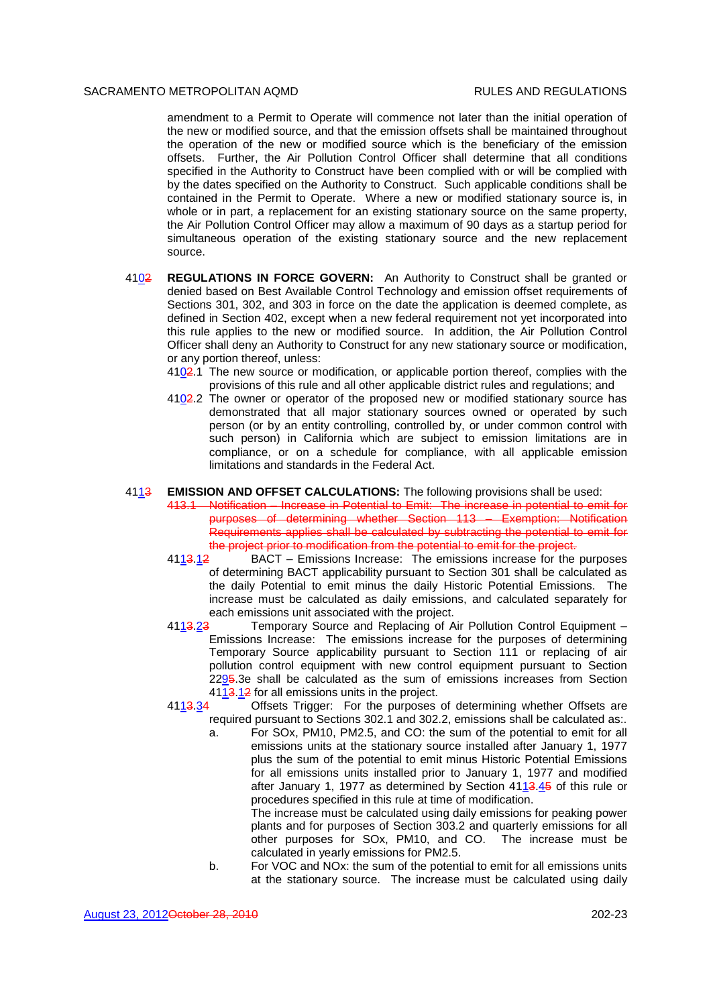amendment to a Permit to Operate will commence not later than the initial operation of the new or modified source, and that the emission offsets shall be maintained throughout the operation of the new or modified source which is the beneficiary of the emission offsets. Further, the Air Pollution Control Officer shall determine that all conditions specified in the Authority to Construct have been complied with or will be complied with by the dates specified on the Authority to Construct. Such applicable conditions shall be contained in the Permit to Operate. Where a new or modified stationary source is, in whole or in part, a replacement for an existing stationary source on the same property, the Air Pollution Control Officer may allow a maximum of 90 days as a startup period for simultaneous operation of the existing stationary source and the new replacement source.

- 4102 **REGULATIONS IN FORCE GOVERN:** An Authority to Construct shall be granted or denied based on Best Available Control Technology and emission offset requirements of Sections 301, 302, and 303 in force on the date the application is deemed complete, as defined in Section 402, except when a new federal requirement not yet incorporated into this rule applies to the new or modified source. In addition, the Air Pollution Control Officer shall deny an Authority to Construct for any new stationary source or modification, or any portion thereof, unless:
	- 4102.1 The new source or modification, or applicable portion thereof, complies with the provisions of this rule and all other applicable district rules and regulations; and
	- 4102.2 The owner or operator of the proposed new or modified stationary source has demonstrated that all major stationary sources owned or operated by such person (or by an entity controlling, controlled by, or under common control with such person) in California which are subject to emission limitations are in compliance, or on a schedule for compliance, with all applicable emission limitations and standards in the Federal Act.

### 4113 **EMISSION AND OFFSET CALCULATIONS:** The following provisions shall be used:

- 413.1 Notification Increase in Potential to Emit: The increase in potential to emit for purposes of determining whether Section 113 – Exemption: Notification Requirements applies shall be calculated by subtracting the potential to emit for the project prior to modification from the potential to emit for the project.
- 4113.12 BACT Emissions Increase: The emissions increase for the purposes of determining BACT applicability pursuant to Section 301 shall be calculated as the daily Potential to emit minus the daily Historic Potential Emissions. The increase must be calculated as daily emissions, and calculated separately for each emissions unit associated with the project.
- 4113.23 Temporary Source and Replacing of Air Pollution Control Equipment -Emissions Increase: The emissions increase for the purposes of determining Temporary Source applicability pursuant to Section 111 or replacing of air pollution control equipment with new control equipment pursuant to Section 2295.3e shall be calculated as the sum of emissions increases from Section 4113.12 for all emissions units in the project.
- 4113.34 Offsets Trigger: For the purposes of determining whether Offsets are required pursuant to Sections 302.1 and 302.2, emissions shall be calculated as:.
	- a. For SOx, PM10, PM2.5, and CO: the sum of the potential to emit for all emissions units at the stationary source installed after January 1, 1977 plus the sum of the potential to emit minus Historic Potential Emissions for all emissions units installed prior to January 1, 1977 and modified after January 1, 1977 as determined by Section  $41\underline{13.45}$  of this rule or procedures specified in this rule at time of modification.

The increase must be calculated using daily emissions for peaking power plants and for purposes of Section 303.2 and quarterly emissions for all other purposes for SOx, PM10, and CO. The increase must be calculated in yearly emissions for PM2.5.

b. For VOC and NOx: the sum of the potential to emit for all emissions units at the stationary source. The increase must be calculated using daily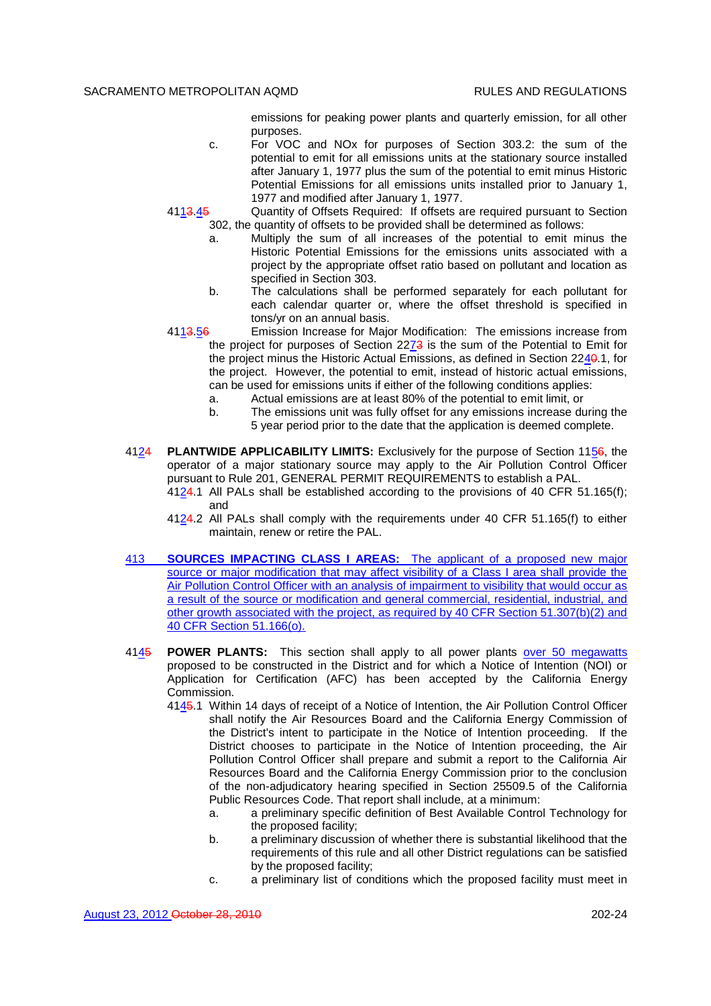emissions for peaking power plants and quarterly emission, for all other purposes.

c. For VOC and NOx for purposes of Section 303.2: the sum of the potential to emit for all emissions units at the stationary source installed after January 1, 1977 plus the sum of the potential to emit minus Historic Potential Emissions for all emissions units installed prior to January 1, 1977 and modified after January 1, 1977.

4113.45 Quantity of Offsets Required: If offsets are required pursuant to Section 302, the quantity of offsets to be provided shall be determined as follows:

- a. Multiply the sum of all increases of the potential to emit minus the Historic Potential Emissions for the emissions units associated with a project by the appropriate offset ratio based on pollutant and location as specified in Section 303.
- b. The calculations shall be performed separately for each pollutant for each calendar quarter or, where the offset threshold is specified in tons/yr on an annual basis.
- 4113.56 Emission Increase for Major Modification: The emissions increase from the project for purposes of Section 2273 is the sum of the Potential to Emit for the project minus the Historic Actual Emissions, as defined in Section 2240.1, for the project. However, the potential to emit, instead of historic actual emissions, can be used for emissions units if either of the following conditions applies:
	- a. Actual emissions are at least 80% of the potential to emit limit, or
	- b. The emissions unit was fully offset for any emissions increase during the 5 year period prior to the date that the application is deemed complete.
- 4124 **PLANTWIDE APPLICABILITY LIMITS:** Exclusively for the purpose of Section 1156, the operator of a major stationary source may apply to the Air Pollution Control Officer pursuant to Rule 201, GENERAL PERMIT REQUIREMENTS to establish a PAL. 4124.1 All PALs shall be established according to the provisions of 40 CFR 51.165(f); and
	- 4124.2 All PALs shall comply with the requirements under 40 CFR 51.165(f) to either maintain, renew or retire the PAL.
- 413 **SOURCES IMPACTING CLASS I AREAS:** The applicant of a proposed new major source or major modification that may affect visibility of a Class I area shall provide the Air Pollution Control Officer with an analysis of impairment to visibility that would occur as a result of the source or modification and general commercial, residential, industrial, and other growth associated with the project, as required by 40 CFR Section 51.307(b)(2) and 40 CFR Section 51.166(o).
- 4145 **POWER PLANTS:** This section shall apply to all power plants over 50 megawatts proposed to be constructed in the District and for which a Notice of Intention (NOI) or Application for Certification (AFC) has been accepted by the California Energy Commission.
	- 4145.1 Within 14 days of receipt of a Notice of Intention, the Air Pollution Control Officer shall notify the Air Resources Board and the California Energy Commission of the District's intent to participate in the Notice of Intention proceeding. If the District chooses to participate in the Notice of Intention proceeding, the Air Pollution Control Officer shall prepare and submit a report to the California Air Resources Board and the California Energy Commission prior to the conclusion of the non-adjudicatory hearing specified in Section 25509.5 of the California Public Resources Code. That report shall include, at a minimum:
		- a. a preliminary specific definition of Best Available Control Technology for the proposed facility;
		- b. a preliminary discussion of whether there is substantial likelihood that the requirements of this rule and all other District regulations can be satisfied by the proposed facility;
		- c. a preliminary list of conditions which the proposed facility must meet in